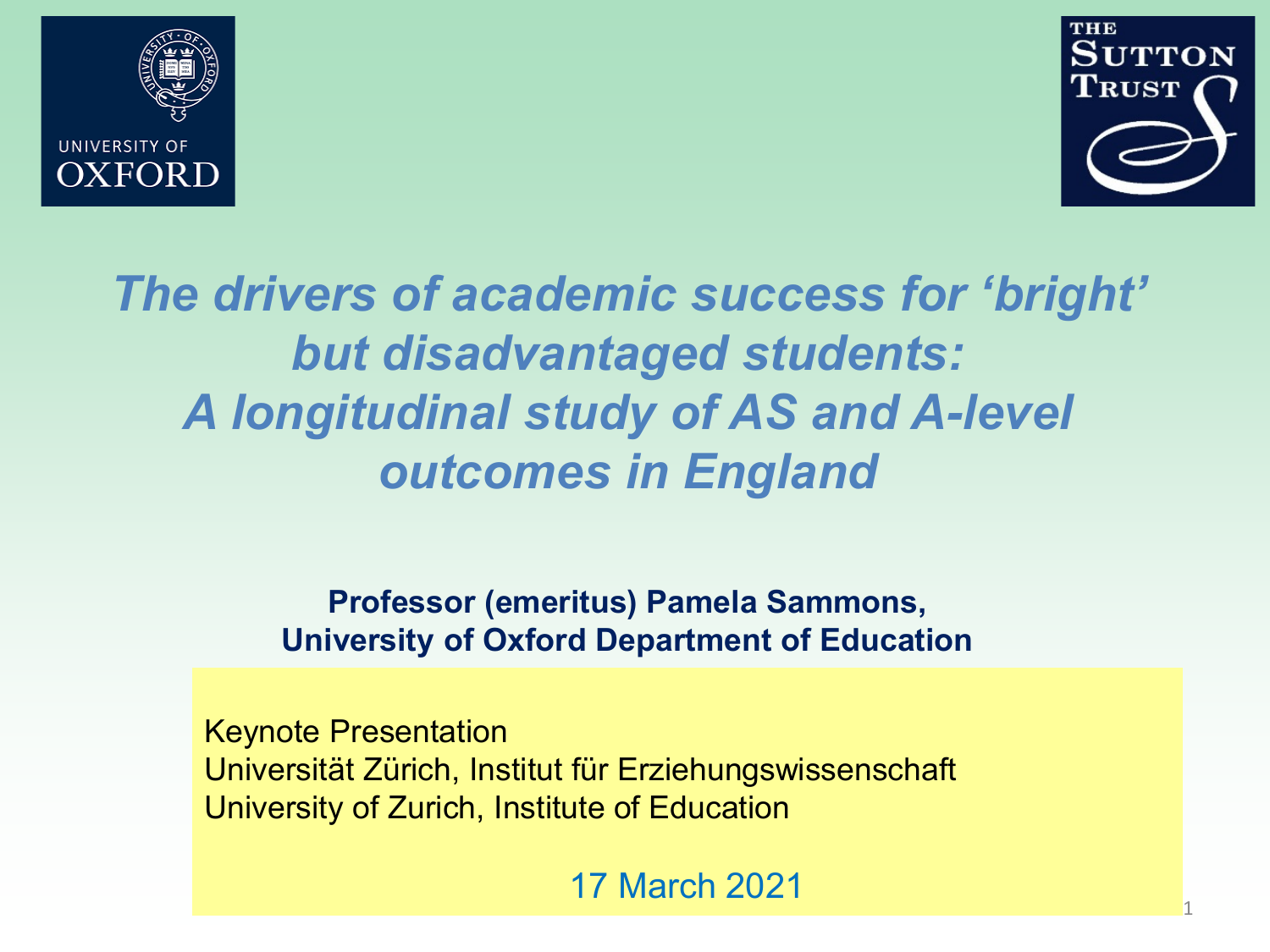



1

*The drivers of academic success for 'bright' but disadvantaged students: A longitudinal study of AS and A-level outcomes in England*

> **Professor (emeritus) Pamela Sammons, University of Oxford Department of Education**

Keynote Presentation Universität Zürich, Institut für Erziehungswissenschaft University of Zurich, Institute of Education

17 March 2021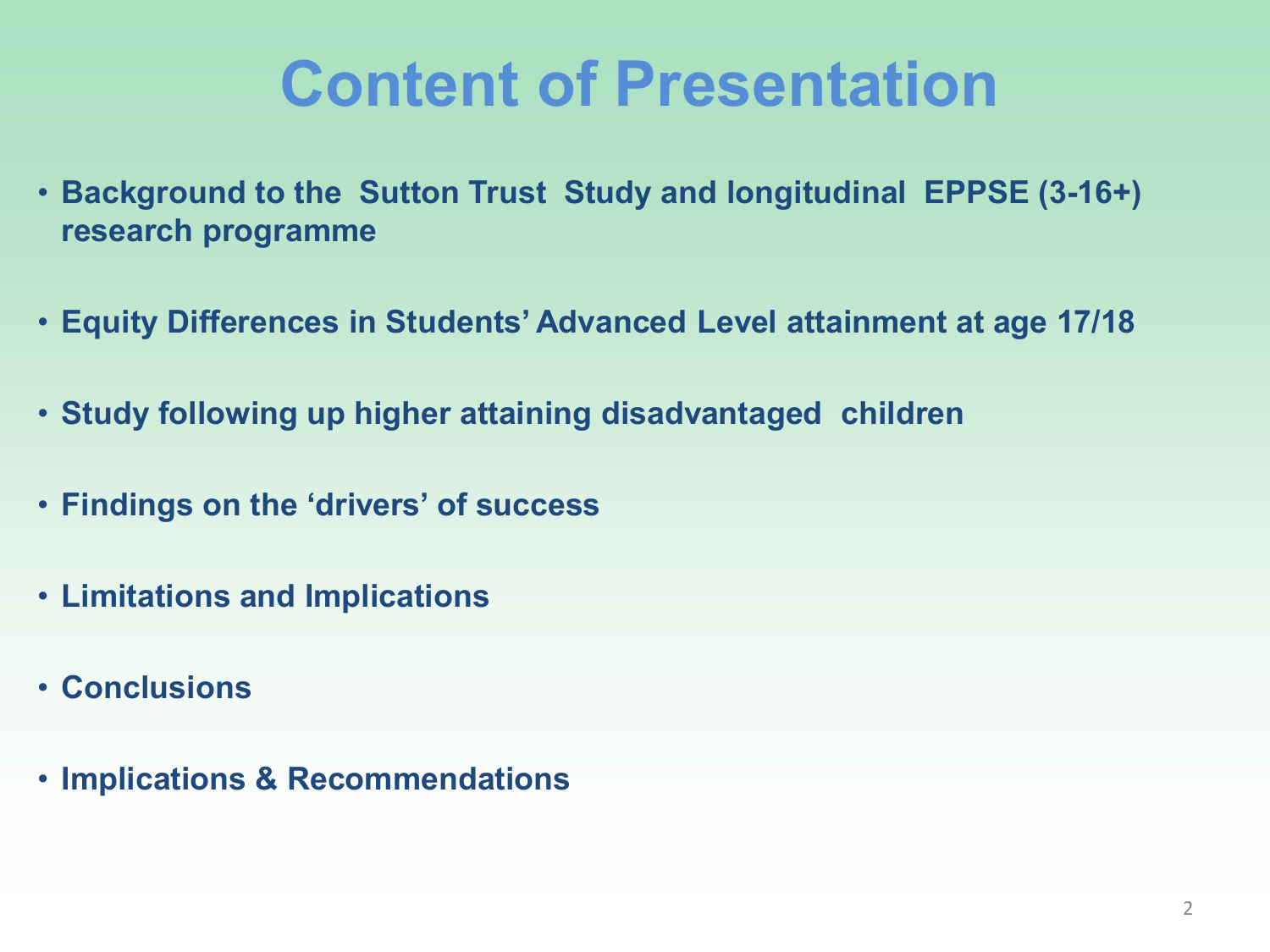# **Content of Presentation**

- **Background to the Sutton Trust Study and longitudinal EPPSE (3-16+) research programme**
- **Equity Differences in Students' Advanced Level attainment at age 17/18**
- **Study following up higher attaining disadvantaged children**
- **Findings on the 'drivers' of success**
- **Limitations and Implications**
- **Conclusions**
- **Implications & Recommendations**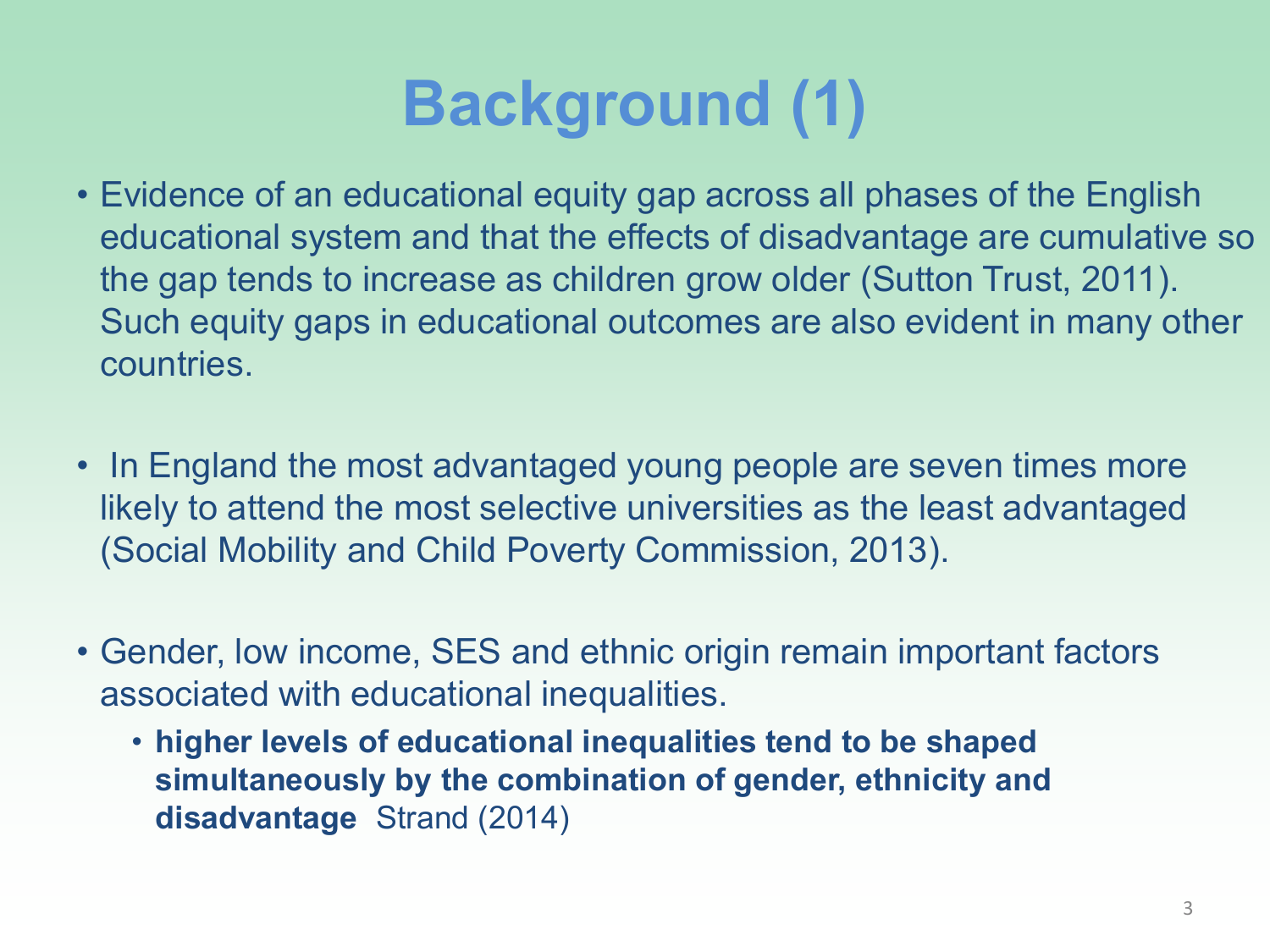

- Evidence of an educational equity gap across all phases of the English educational system and that the effects of disadvantage are cumulative so the gap tends to increase as children grow older (Sutton Trust, 2011). Such equity gaps in educational outcomes are also evident in many other countries.
- In England the most advantaged young people are seven times more likely to attend the most selective universities as the least advantaged (Social Mobility and Child Poverty Commission, 2013).
- Gender, low income, SES and ethnic origin remain important factors associated with educational inequalities.
	- **higher levels of educational inequalities tend to be shaped simultaneously by the combination of gender, ethnicity and disadvantage** Strand (2014)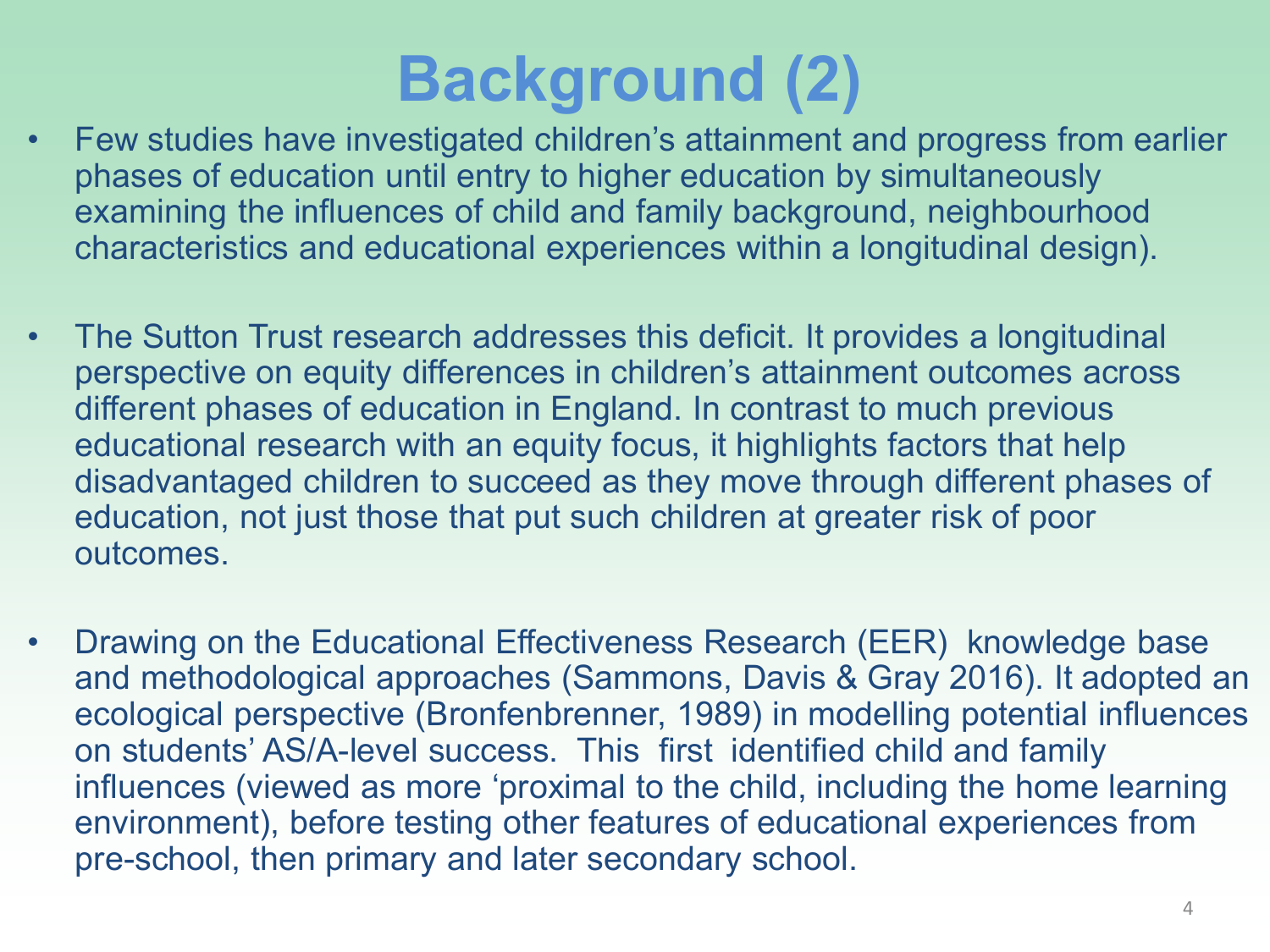# **Background (2)**

- Few studies have investigated children's attainment and progress from earlier phases of education until entry to higher education by simultaneously examining the influences of child and family background, neighbourhood characteristics and educational experiences within a longitudinal design).
- The Sutton Trust research addresses this deficit. It provides a longitudinal perspective on equity differences in children's attainment outcomes across different phases of education in England. In contrast to much previous educational research with an equity focus, it highlights factors that help disadvantaged children to succeed as they move through different phases of education, not just those that put such children at greater risk of poor outcomes.
- Drawing on the Educational Effectiveness Research (EER) knowledge base and methodological approaches (Sammons, Davis & Gray 2016). It adopted an ecological perspective (Bronfenbrenner, 1989) in modelling potential influences on students' AS/A-level success. This first identified child and family influences (viewed as more 'proximal to the child, including the home learning environment), before testing other features of educational experiences from pre-school, then primary and later secondary school.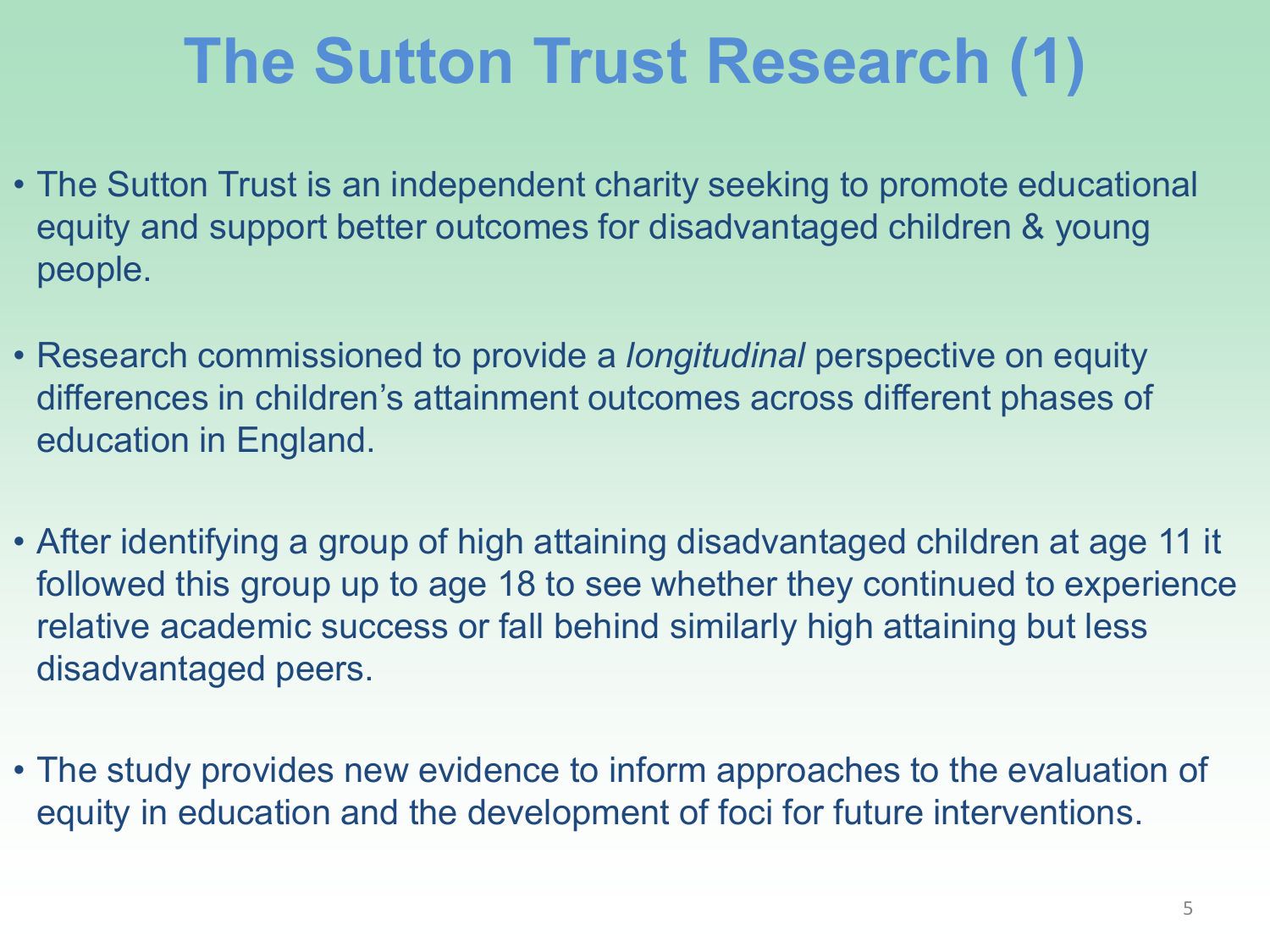# **The Sutton Trust Research (1)**

- The Sutton Trust is an independent charity seeking to promote educational equity and support better outcomes for disadvantaged children & young people.
- Research commissioned to provide a *longitudinal* perspective on equity differences in children's attainment outcomes across different phases of education in England.
- After identifying a group of high attaining disadvantaged children at age 11 it followed this group up to age 18 to see whether they continued to experience relative academic success or fall behind similarly high attaining but less disadvantaged peers.
- The study provides new evidence to inform approaches to the evaluation of equity in education and the development of foci for future interventions.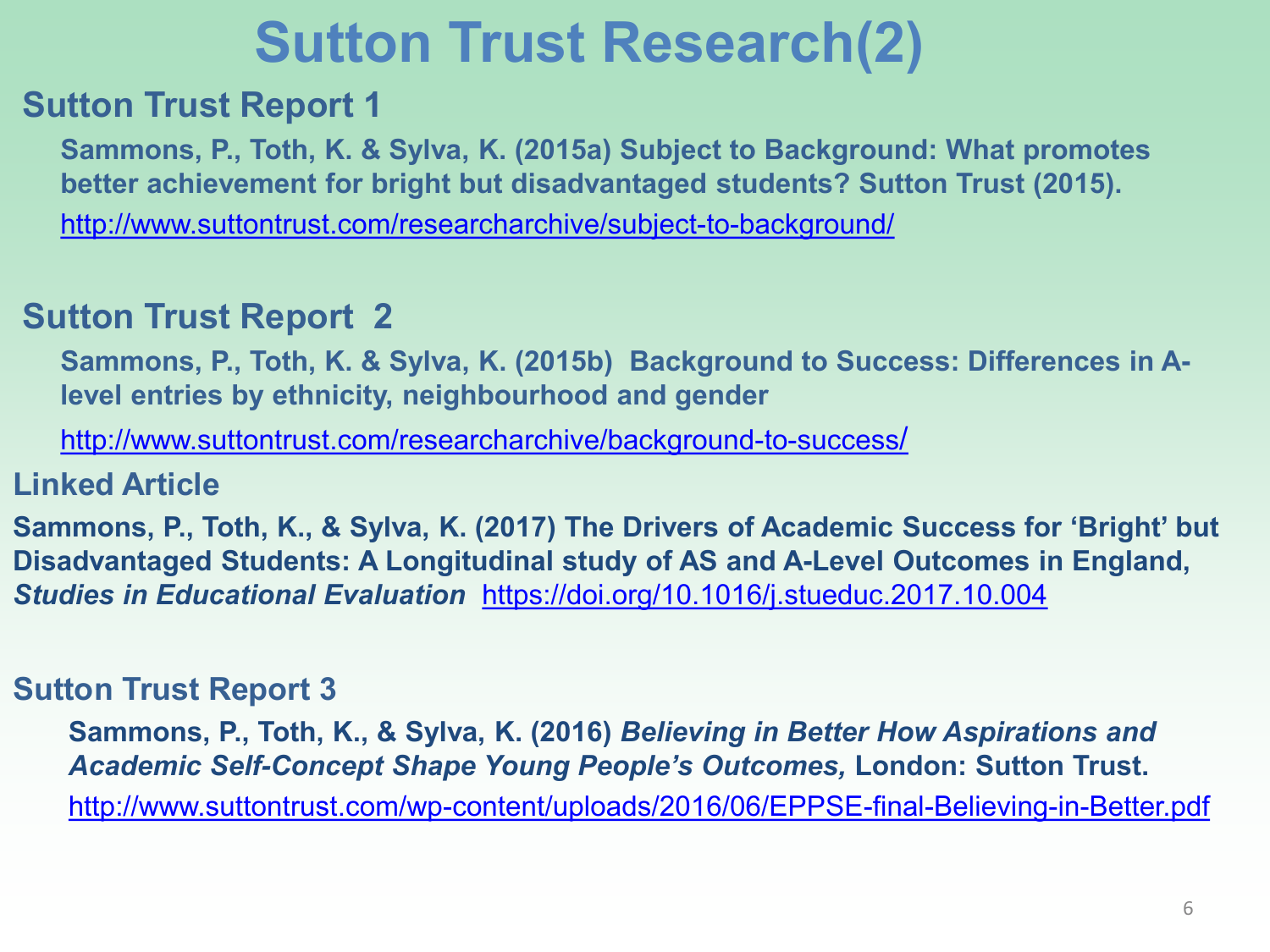## **Sutton Trust Research(2)**

### **Sutton Trust Report 1**

**Sammons, P., Toth, K. & Sylva, K. (2015a) Subject to Background: What promotes better achievement for bright but disadvantaged students? Sutton Trust (2015).** <http://www.suttontrust.com/researcharchive/subject-to-background/>

### **Sutton Trust Report 2**

**Sammons, P., Toth, K. & Sylva, K. (2015b) Background to Success: Differences in Alevel entries by ethnicity, neighbourhood and gender**

<http://www.suttontrust.com/researcharchive/background-to-success/>

### **Linked Article**

**Sammons, P., Toth, K., & Sylva, K. (2017) The Drivers of Academic Success for 'Bright' but Disadvantaged Students: A Longitudinal study of AS and A-Level Outcomes in England,**  *Studies in Educational Evaluation* <https://doi.org/10.1016/j.stueduc.2017.10.004>

### **Sutton Trust Report 3**

**Sammons, P., Toth, K., & Sylva, K. (2016)** *Believing in Better How Aspirations and Academic Self-Concept Shape Young People's Outcomes,* **London: Sutton Trust.**  <http://www.suttontrust.com/wp-content/uploads/2016/06/EPPSE-final-Believing-in-Better.pdf>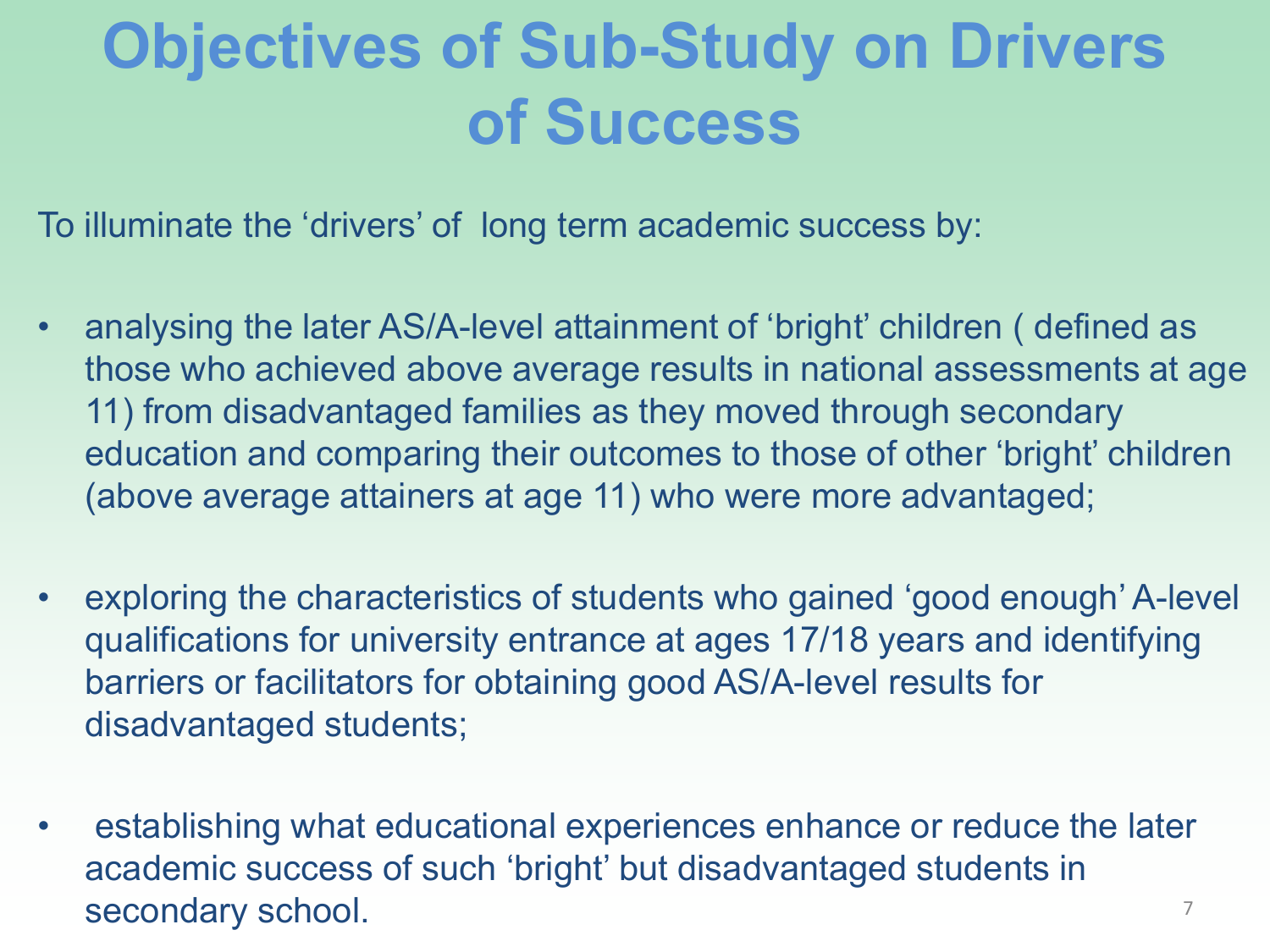# **Objectives of Sub-Study on Drivers of Success**

To illuminate the 'drivers' of long term academic success by:

- analysing the later AS/A-level attainment of 'bright' children ( defined as those who achieved above average results in national assessments at age 11) from disadvantaged families as they moved through secondary education and comparing their outcomes to those of other 'bright' children (above average attainers at age 11) who were more advantaged;
- exploring the characteristics of students who gained 'good enough' A-level qualifications for university entrance at ages 17/18 years and identifying barriers or facilitators for obtaining good AS/A-level results for disadvantaged students;
- establishing what educational experiences enhance or reduce the later academic success of such 'bright' but disadvantaged students in secondary school.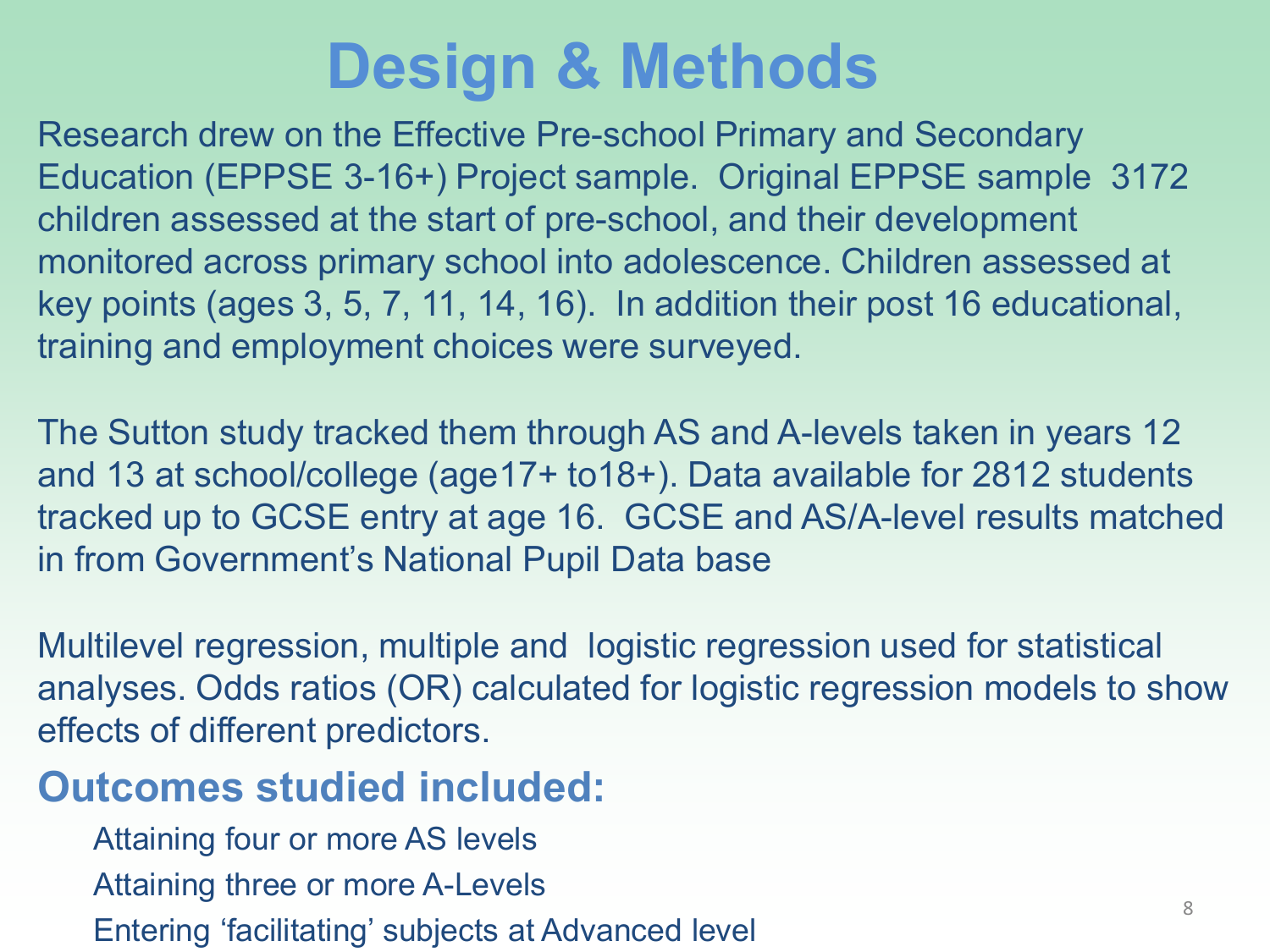## **Design & Methods**

Research drew on the Effective Pre-school Primary and Secondary Education (EPPSE 3-16+) Project sample. Original EPPSE sample 3172 children assessed at the start of pre-school, and their development monitored across primary school into adolescence. Children assessed at key points (ages 3, 5, 7, 11, 14, 16). In addition their post 16 educational, training and employment choices were surveyed.

The Sutton study tracked them through AS and A-levels taken in years 12 and 13 at school/college (age17+ to18+). Data available for 2812 students tracked up to GCSE entry at age 16. GCSE and AS/A-level results matched in from Government's National Pupil Data base

Multilevel regression, multiple and logistic regression used for statistical analyses. Odds ratios (OR) calculated for logistic regression models to show effects of different predictors.

### **Outcomes studied included:**

Attaining four or more AS levels Attaining three or more A-Levels Entering 'facilitating' subjects at Advanced level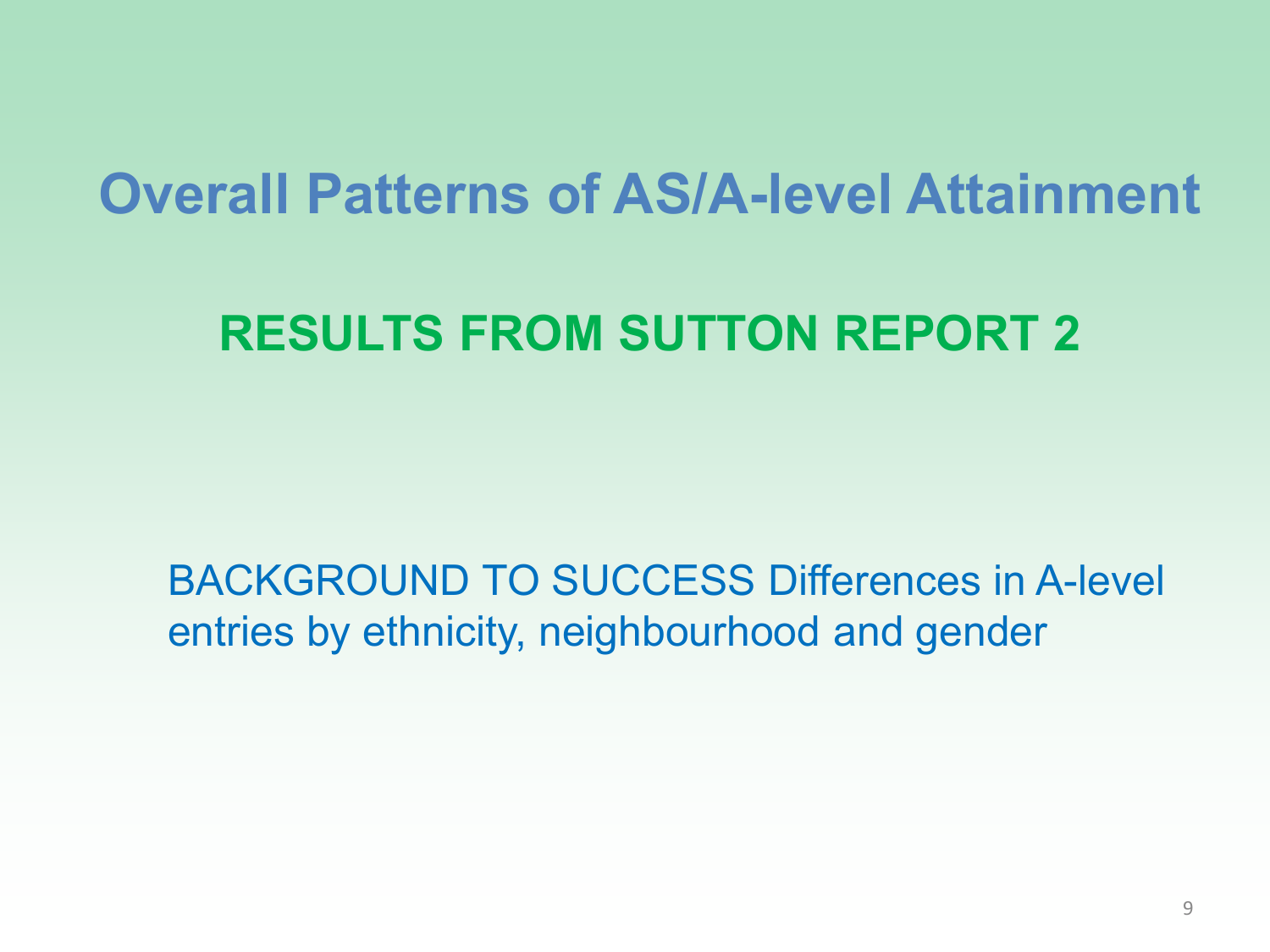## **Overall Patterns of AS/A-level Attainment**

### **RESULTS FROM SUTTON REPORT 2**

BACKGROUND TO SUCCESS Differences in A-level entries by ethnicity, neighbourhood and gender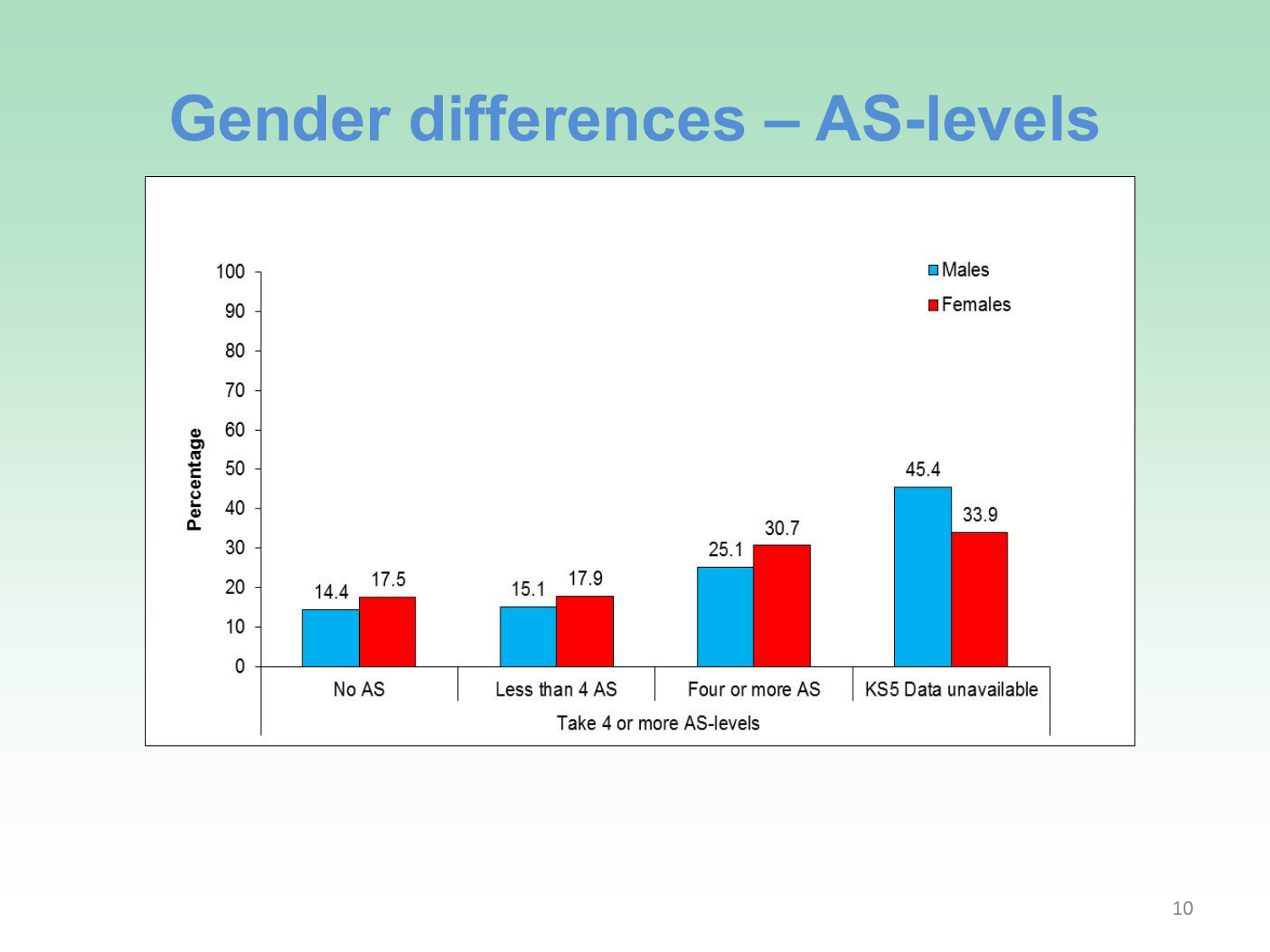## **Gender differences – AS-levels**

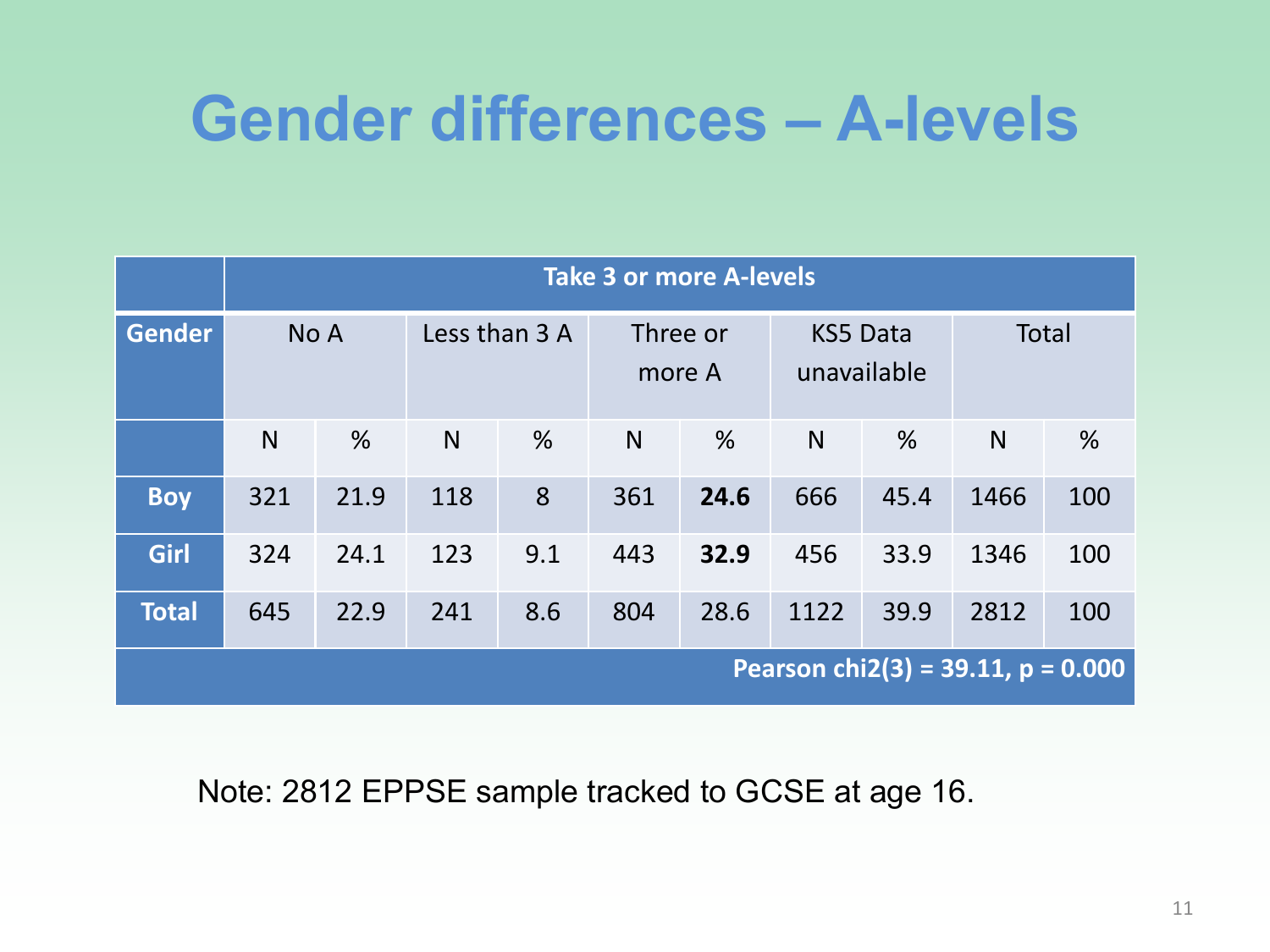# **Gender differences – A-levels**

|               |     | <b>Take 3 or more A-levels</b> |                                     |     |                                |      |                                      |      |              |      |  |  |
|---------------|-----|--------------------------------|-------------------------------------|-----|--------------------------------|------|--------------------------------------|------|--------------|------|--|--|
| <b>Gender</b> |     | No A                           | Less than 3 A<br>Three or<br>more A |     | <b>KS5 Data</b><br>unavailable |      | <b>Total</b>                         |      |              |      |  |  |
|               | N   | %                              | $\mathsf{N}$                        | %   | N                              | %    | $\mathsf{N}$                         | %    | $\mathsf{N}$ | $\%$ |  |  |
| <b>Boy</b>    | 321 | 21.9                           | 118                                 | 8   | 361                            | 24.6 | 666                                  | 45.4 | 1466         | 100  |  |  |
| Girl          | 324 | 24.1                           | 123                                 | 9.1 | 443                            | 32.9 | 456                                  | 33.9 | 1346         | 100  |  |  |
| <b>Total</b>  | 645 | 22.9                           | 241                                 | 8.6 | 804                            | 28.6 | 1122                                 | 39.9 | 2812         | 100  |  |  |
|               |     |                                |                                     |     |                                |      | Pearson chi2(3) = 39.11, $p = 0.000$ |      |              |      |  |  |

### Note: 2812 EPPSE sample tracked to GCSE at age 16.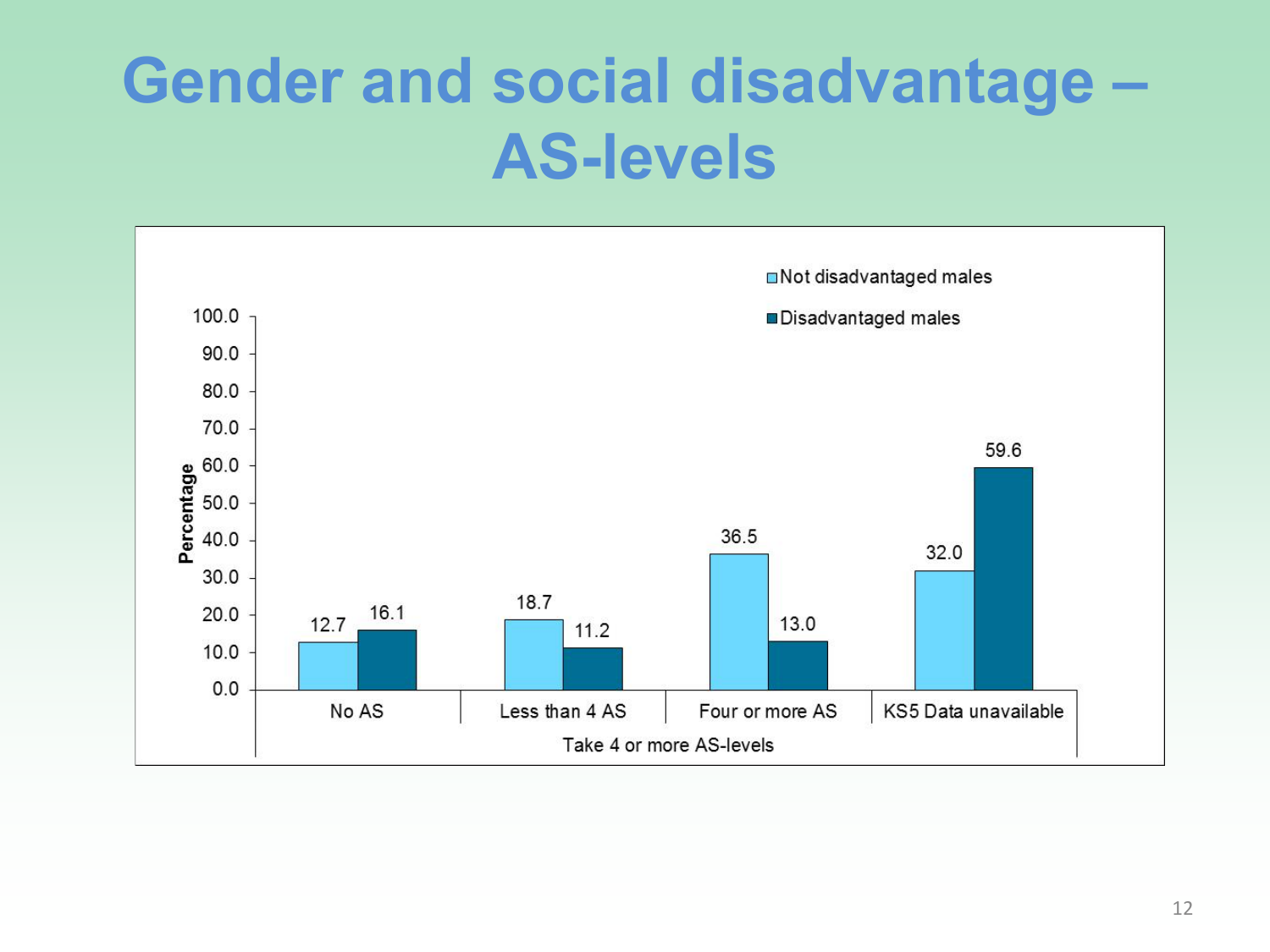# **Gender and social disadvantage – AS-levels**

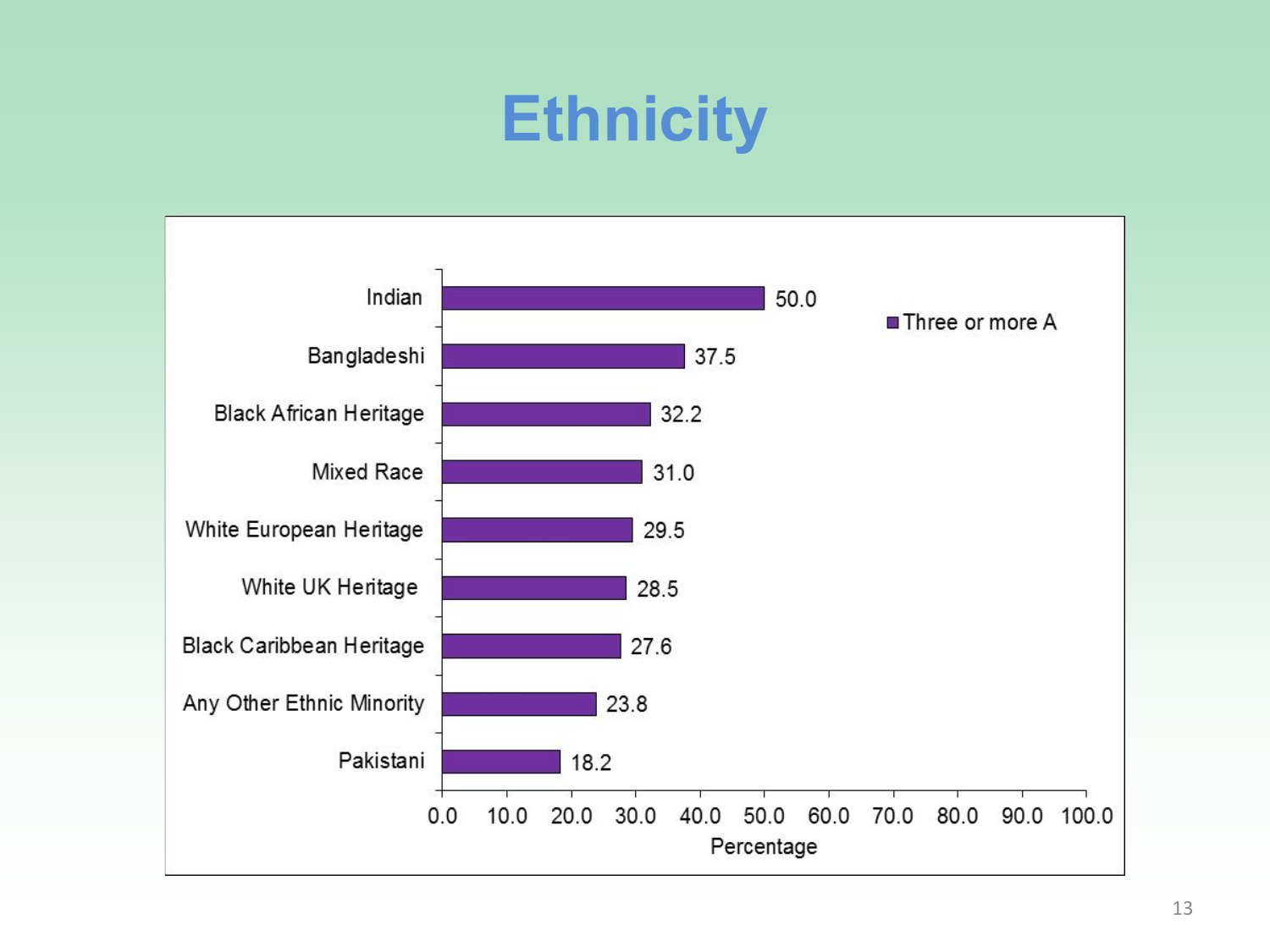# **Ethnicity**

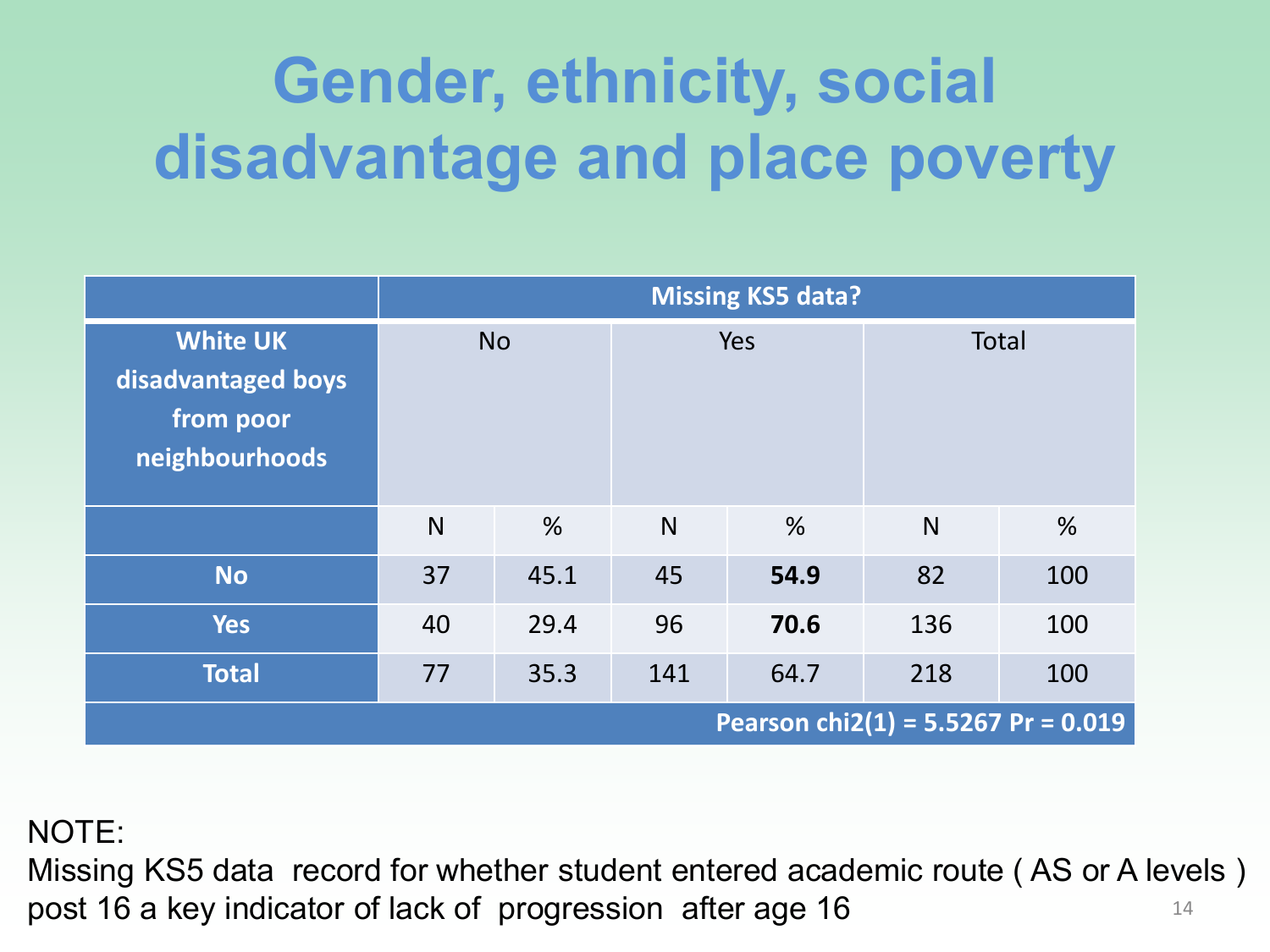# **Gender, ethnicity, social disadvantage and place poverty**

|                                                                      |              |           |              | <b>Missing KS5 data?</b> |                                       |     |  |
|----------------------------------------------------------------------|--------------|-----------|--------------|--------------------------|---------------------------------------|-----|--|
| <b>White UK</b><br>disadvantaged boys<br>from poor<br>neighbourhoods |              | <b>No</b> |              | Yes                      | <b>Total</b>                          |     |  |
|                                                                      | $\mathsf{N}$ | %         | $\mathsf{N}$ | %                        | N                                     | %   |  |
| <b>No</b>                                                            | 37           | 45.1      | 45           | 54.9                     | 82                                    | 100 |  |
| <b>Yes</b>                                                           | 40           | 29.4      | 96           | 70.6                     | 136                                   | 100 |  |
| <b>Total</b>                                                         | 77           | 35.3      | 141          | 64.7                     | 218                                   | 100 |  |
|                                                                      |              |           |              |                          | Pearson chi2(1) = 5.5267 Pr = $0.019$ |     |  |

#### NOTE:

14 Missing KS5 data record for whether student entered academic route ( AS or A levels ) post 16 a key indicator of lack of progression after age 16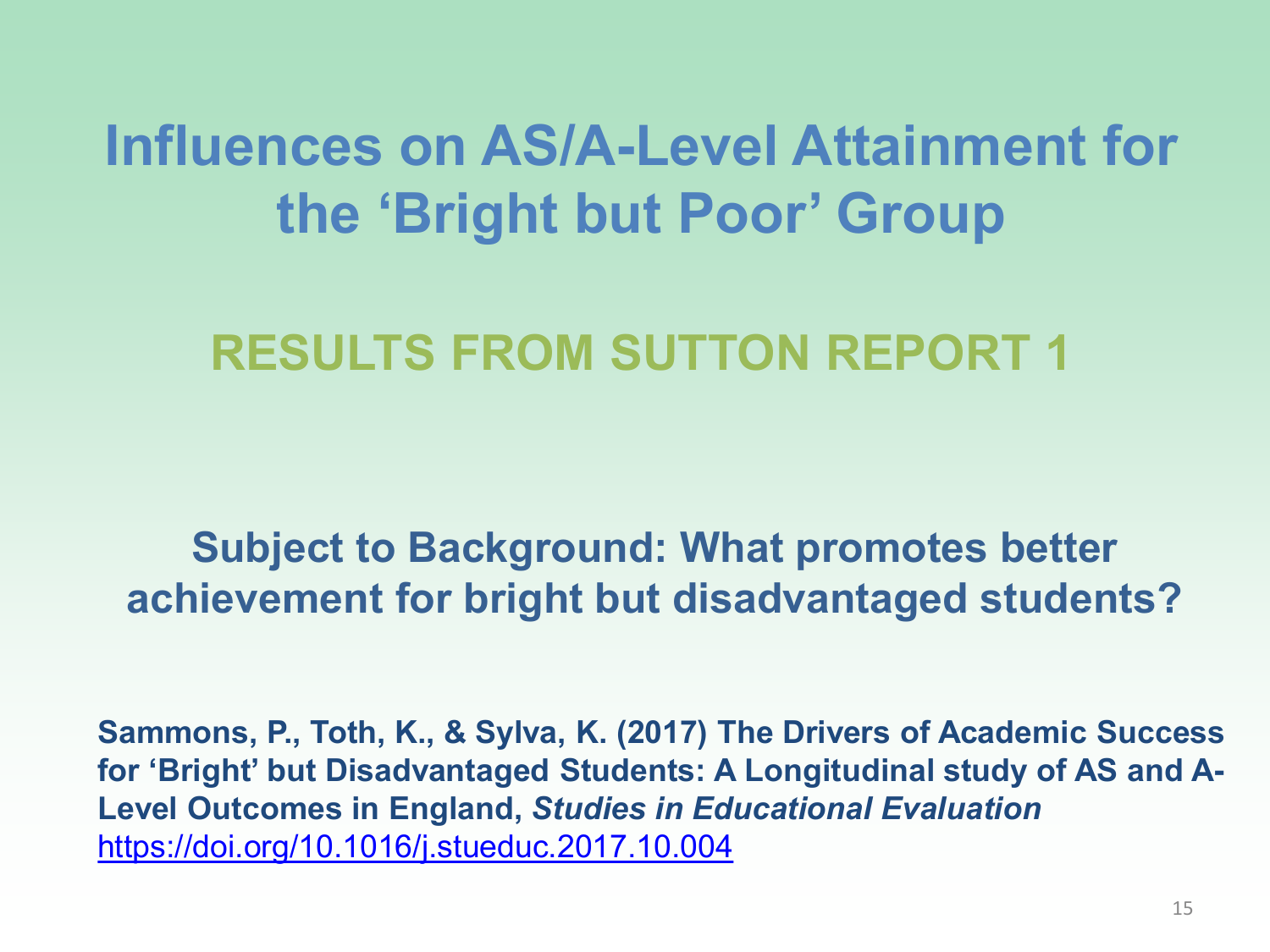## **Influences on AS/A-Level Attainment for the 'Bright but Poor' Group**

### **RESULTS FROM SUTTON REPORT 1**

### **Subject to Background: What promotes better achievement for bright but disadvantaged students?**

**Sammons, P., Toth, K., & Sylva, K. (2017) The Drivers of Academic Success for 'Bright' but Disadvantaged Students: A Longitudinal study of AS and A-Level Outcomes in England,** *Studies in Educational Evaluation* <https://doi.org/10.1016/j.stueduc.2017.10.004>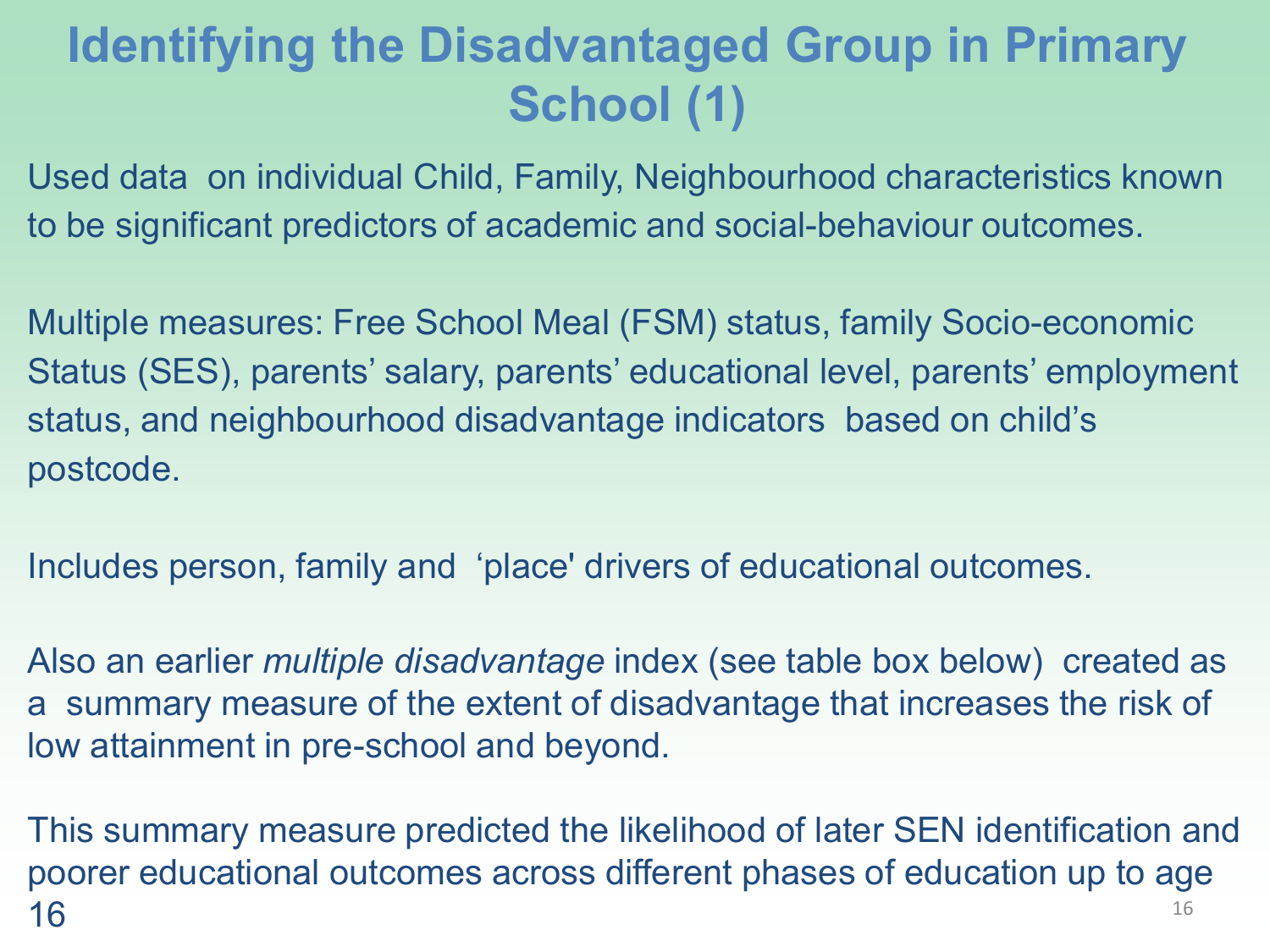### **Identifying the Disadvantaged Group in Primary School (1)**

Used data on individual Child, Family, Neighbourhood characteristics known to be significant predictors of academic and social-behaviour outcomes.

Multiple measures: Free School Meal (FSM) status, family Socio-economic Status (SES), parents' salary, parents' educational level, parents' employment status, and neighbourhood disadvantage indicators based on child's postcode.

Includes person, family and 'place' drivers of educational outcomes.

Also an earlier *multiple disadvantage* index (see table box below) created as a summary measure of the extent of disadvantage that increases the risk of low attainment in pre-school and beyond.

16 This summary measure predicted the likelihood of later SEN identification and poorer educational outcomes across different phases of education up to age 16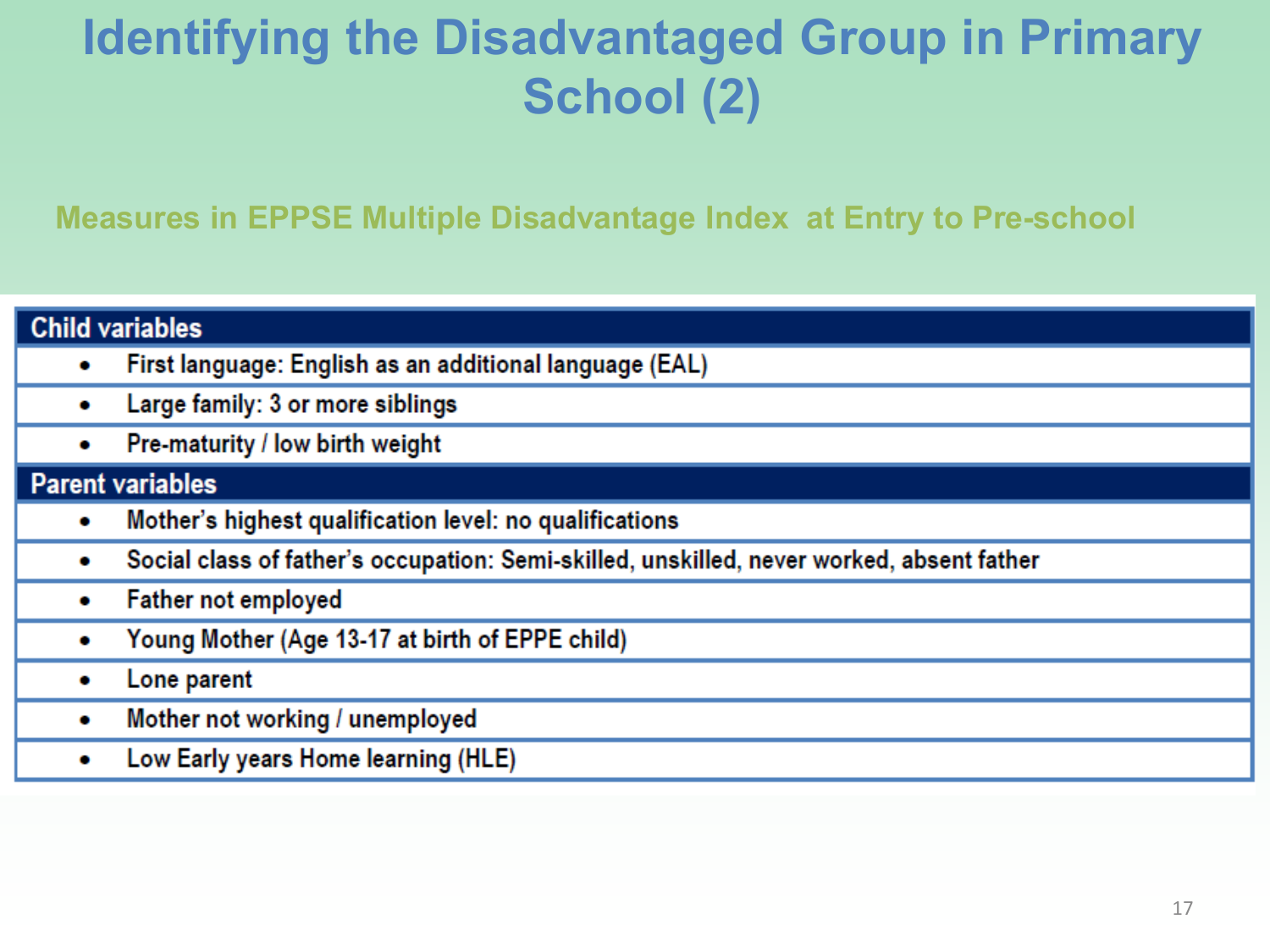### **Identifying the Disadvantaged Group in Primary School (2)**

**Measures in EPPSE Multiple Disadvantage Index at Entry to Pre-school**

#### **Child variables**

- First language: English as an additional language (EAL) ۰
- Large family: 3 or more siblings ۰
- Pre-maturity / low birth weight ۰

#### **Parent variables**

- Mother's highest qualification level: no qualifications ۰
- Social class of father's occupation: Semi-skilled, unskilled, never worked, absent father ۰
- **Father not employed** ۰
- Young Mother (Age 13-17 at birth of EPPE child) ۰
- Lone parent ۰
- Mother not working / unemployed ۰
- Low Early years Home learning (HLE) ۰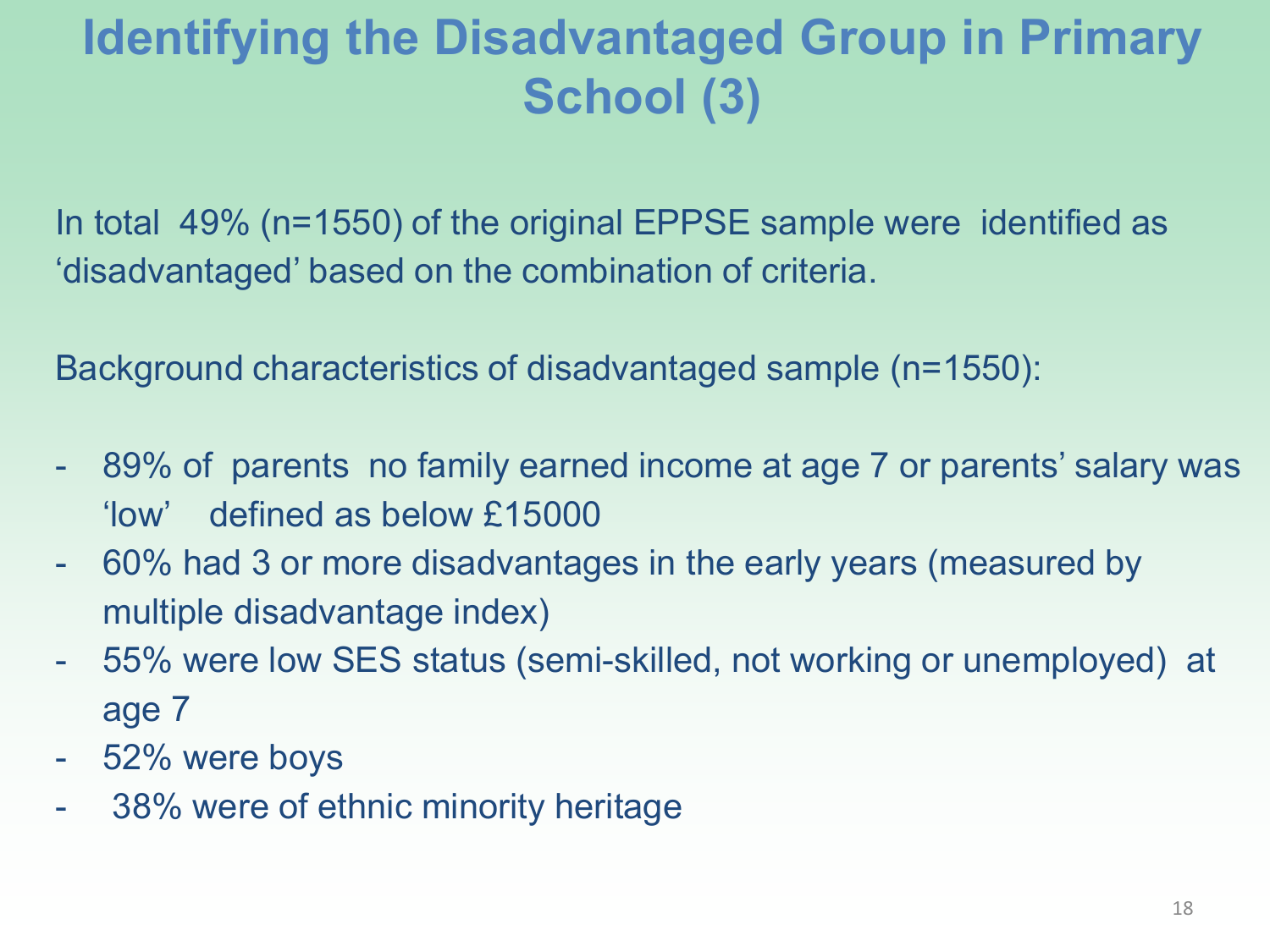### **Identifying the Disadvantaged Group in Primary School (3)**

In total 49% (n=1550) of the original EPPSE sample were identified as 'disadvantaged' based on the combination of criteria.

Background characteristics of disadvantaged sample (n=1550):

- 89% of parents no family earned income at age 7 or parents' salary was 'low' defined as below £15000
- 60% had 3 or more disadvantages in the early years (measured by multiple disadvantage index)
- 55% were low SES status (semi-skilled, not working or unemployed) at age 7
- 52% were boys
- 38% were of ethnic minority heritage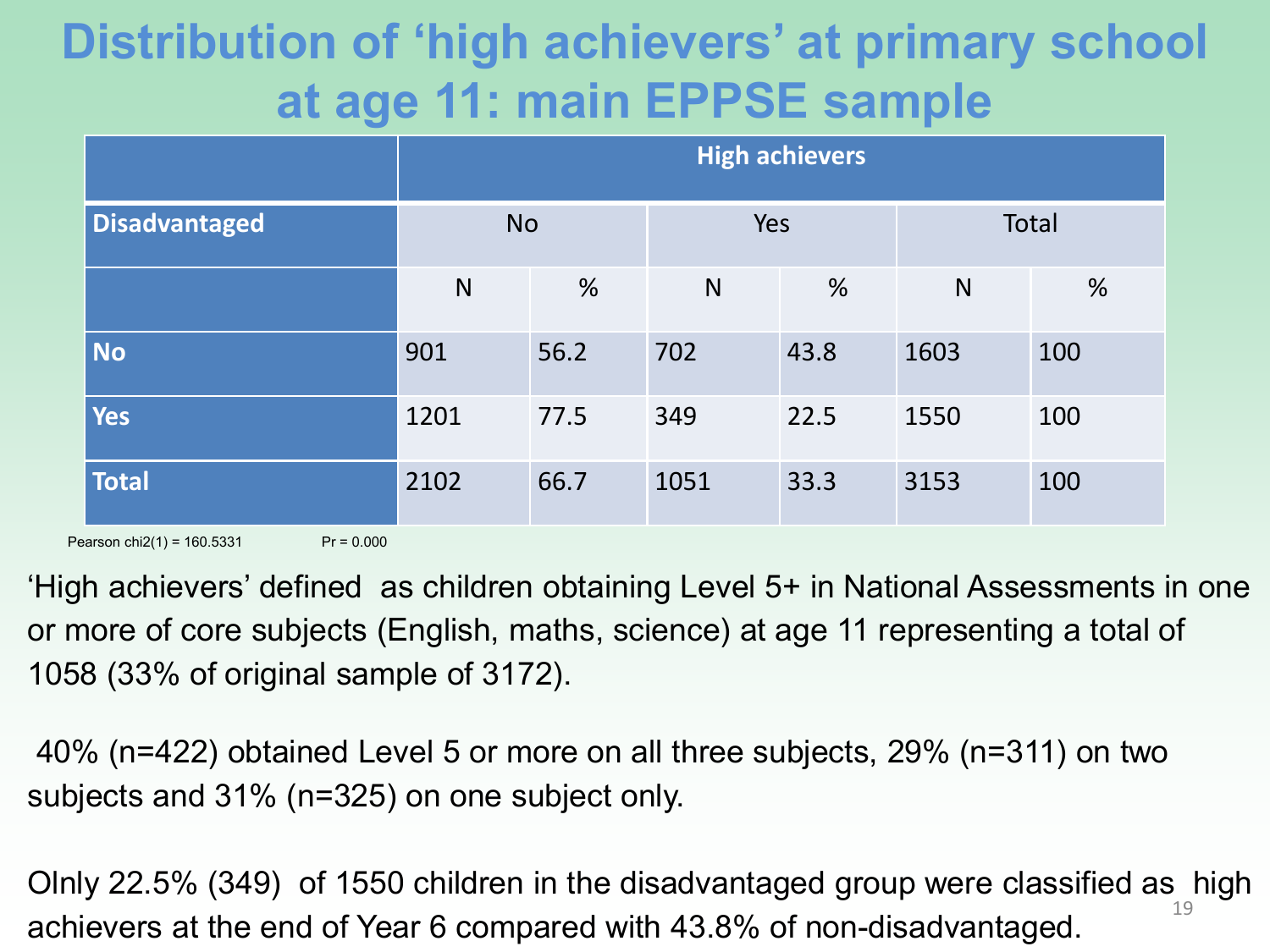### **Distribution of 'high achievers' at primary school at age 11: main EPPSE sample**

|                                               | <b>High achievers</b> |      |            |      |       |     |  |  |  |
|-----------------------------------------------|-----------------------|------|------------|------|-------|-----|--|--|--|
| Disadvantaged                                 | <b>No</b>             |      | <b>Yes</b> |      | Total |     |  |  |  |
|                                               | $\mathsf{N}$          | %    | N          | %    | N     | %   |  |  |  |
| No                                            | 901                   | 56.2 | 702        | 43.8 | 1603  | 100 |  |  |  |
| Yes                                           | 1201                  | 77.5 | 349        | 22.5 | 1550  | 100 |  |  |  |
| Total                                         | 2102                  | 66.7 | 1051       | 33.3 | 3153  | 100 |  |  |  |
| Pearson chi $2(1) = 160.5331$<br>$Pr = 0.000$ |                       |      |            |      |       |     |  |  |  |

'High achievers' defined as children obtaining Level 5+ in National Assessments in one or more of core subjects (English, maths, science) at age 11 representing a total of 1058 (33% of original sample of 3172).

40% (n=422) obtained Level 5 or more on all three subjects, 29% (n=311) on two subjects and 31% (n=325) on one subject only.

19 Olnly 22.5% (349) of 1550 children in the disadvantaged group were classified as high achievers at the end of Year 6 compared with 43.8% of non-disadvantaged.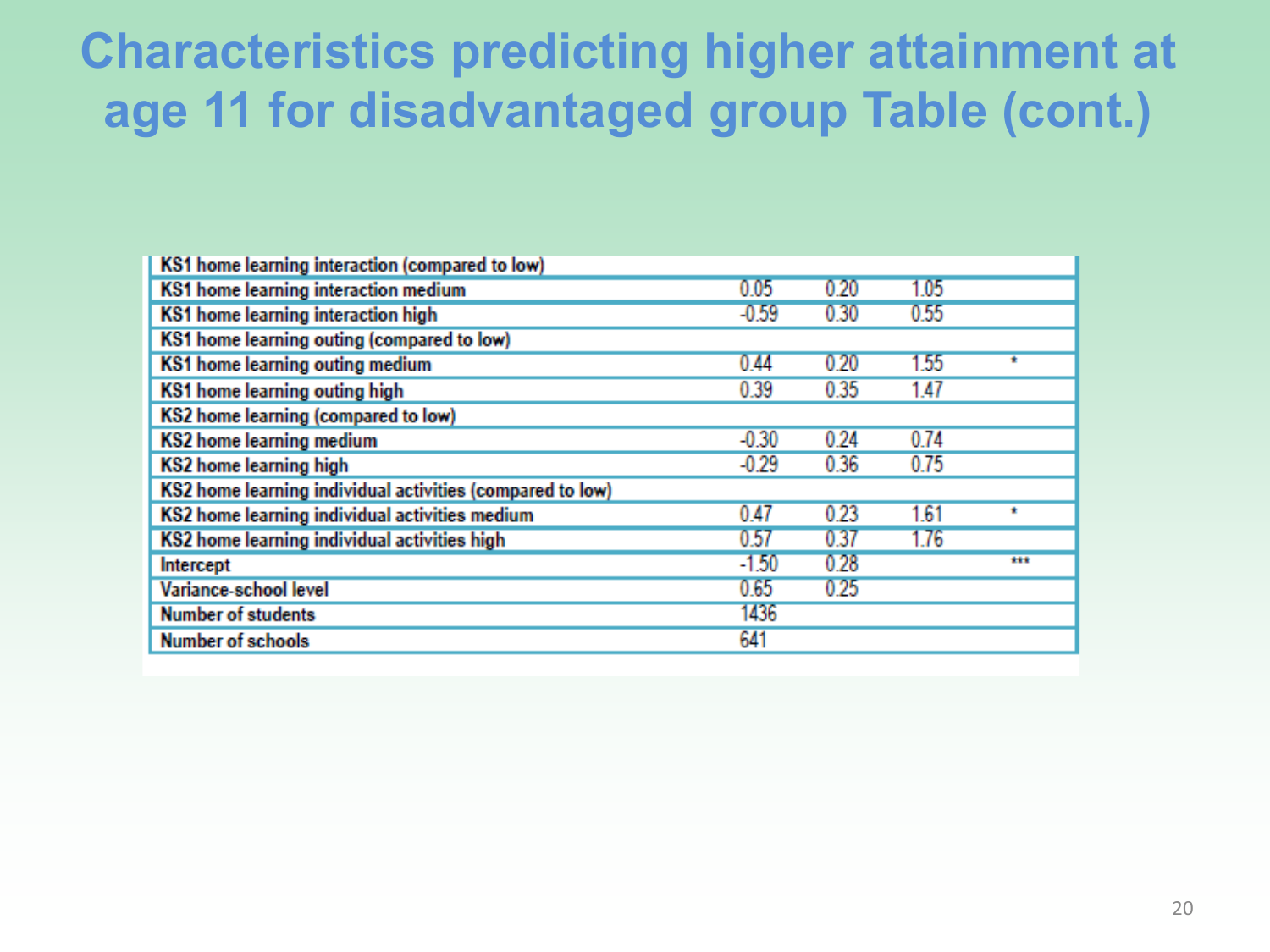### **Characteristics predicting higher attainment at age 11 for disadvantaged group Table (cont.)**

| KS1 home learning interaction (compared to low)           |         |      |      |     |
|-----------------------------------------------------------|---------|------|------|-----|
| KS1 home learning interaction medium                      | 0.05    | 0.20 | 1.05 |     |
| KS1 home learning interaction high                        | $-0.59$ | 0.30 | 0.55 |     |
| KS1 home learning outing (compared to low)                |         |      |      |     |
| KS1 home learning outing medium                           | 0.44    | 0.20 | 1.55 |     |
| KS1 home learning outing high                             | 0.39    | 0.35 | 1.47 |     |
| <b>KS2</b> home learning (compared to low)                |         |      |      |     |
| <b>KS2</b> home learning medium                           | $-0.30$ | 0.24 | 0.74 |     |
| <b>KS2</b> home learning high                             | $-0.29$ | 0.36 | 0.75 |     |
| KS2 home learning individual activities (compared to low) |         |      |      |     |
| KS2 home learning individual activities medium            | 0.47    | 0.23 | 1.61 | ٠   |
| KS2 home learning individual activities high              | 0.57    | 0.37 | 1.76 |     |
| Intercept                                                 | $-1.50$ | 0.28 |      | *** |
| Variance-school level                                     | 0.65    | 0.25 |      |     |
| <b>Number of students</b>                                 | 1436    |      |      |     |
| <b>Number of schools</b>                                  | 641     |      |      |     |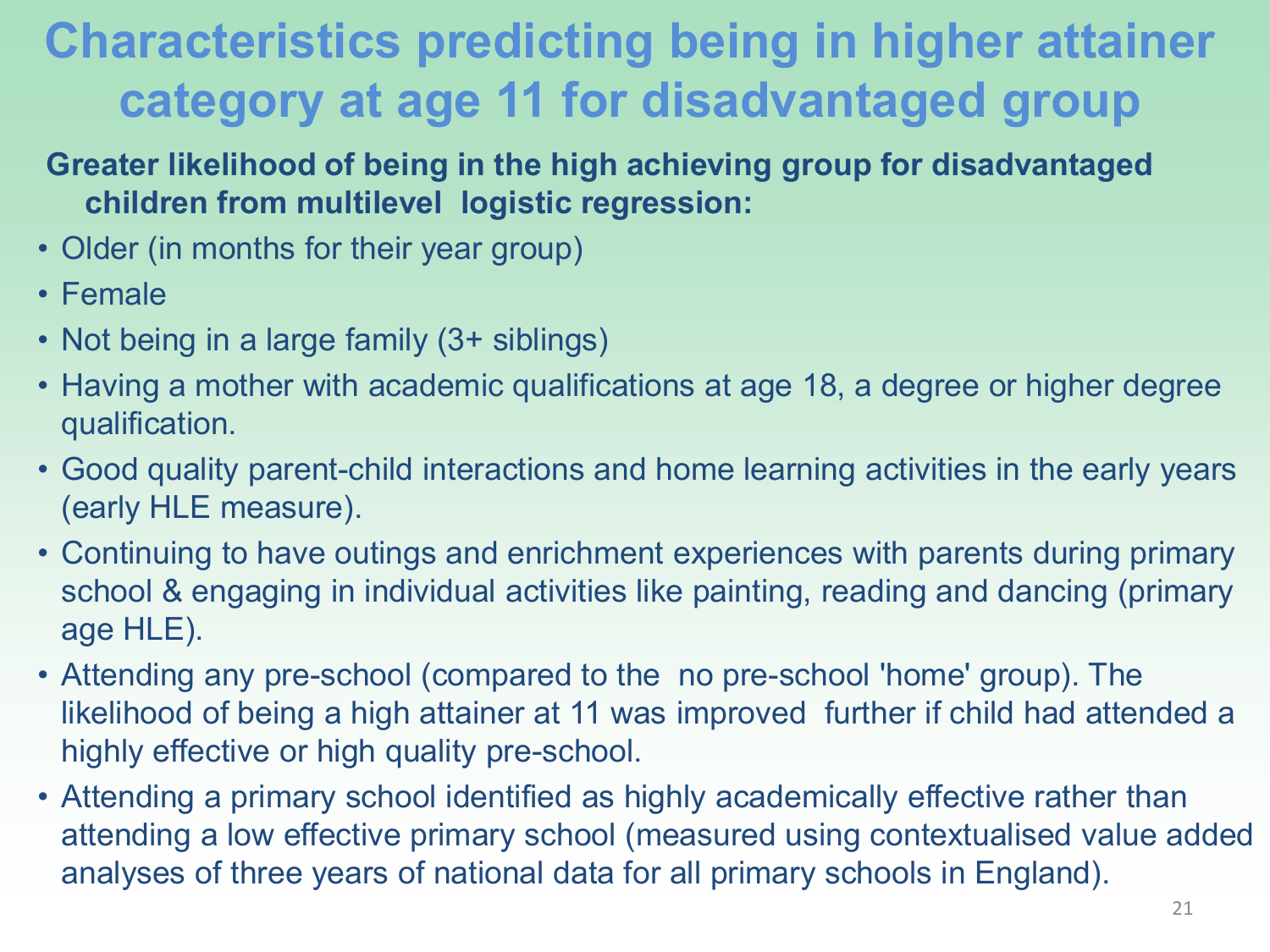### **Characteristics predicting being in higher attainer category at age 11 for disadvantaged group**

### **Greater likelihood of being in the high achieving group for disadvantaged children from multilevel logistic regression:**

- Older (in months for their year group)
- Female
- Not being in a large family (3+ siblings)
- Having a mother with academic qualifications at age 18, a degree or higher degree qualification.
- Good quality parent-child interactions and home learning activities in the early years (early HLE measure).
- Continuing to have outings and enrichment experiences with parents during primary school & engaging in individual activities like painting, reading and dancing (primary age HLE).
- Attending any pre-school (compared to the no pre-school 'home' group). The likelihood of being a high attainer at 11 was improved further if child had attended a highly effective or high quality pre-school.
- Attending a primary school identified as highly academically effective rather than attending a low effective primary school (measured using contextualised value added analyses of three years of national data for all primary schools in England).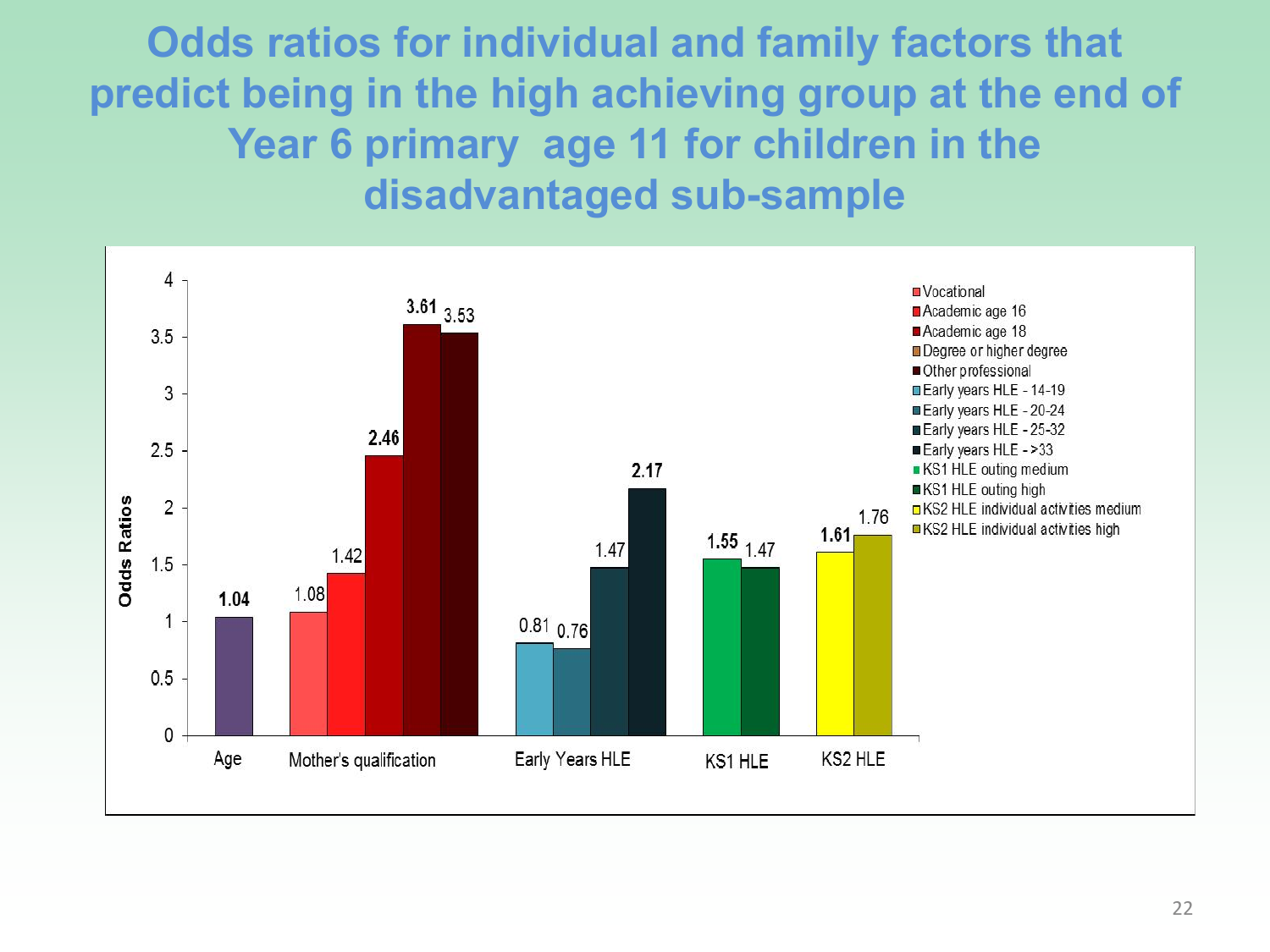**Odds ratios for individual and family factors that predict being in the high achieving group at the end of Year 6 primary age 11 for children in the disadvantaged sub-sample**

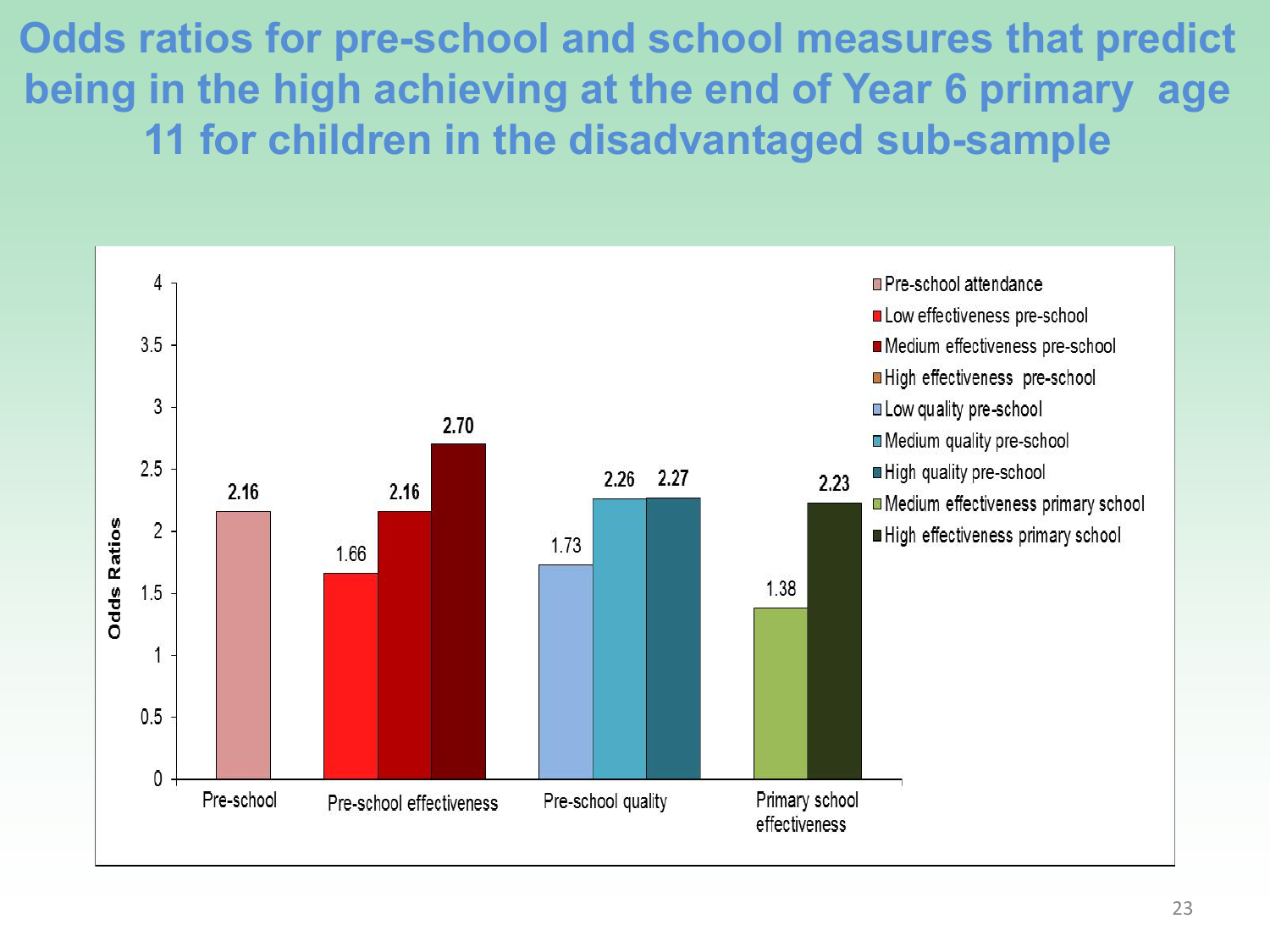**Odds ratios for pre-school and school measures that predict being in the high achieving at the end of Year 6 primary age 11 for children in the disadvantaged sub-sample** 

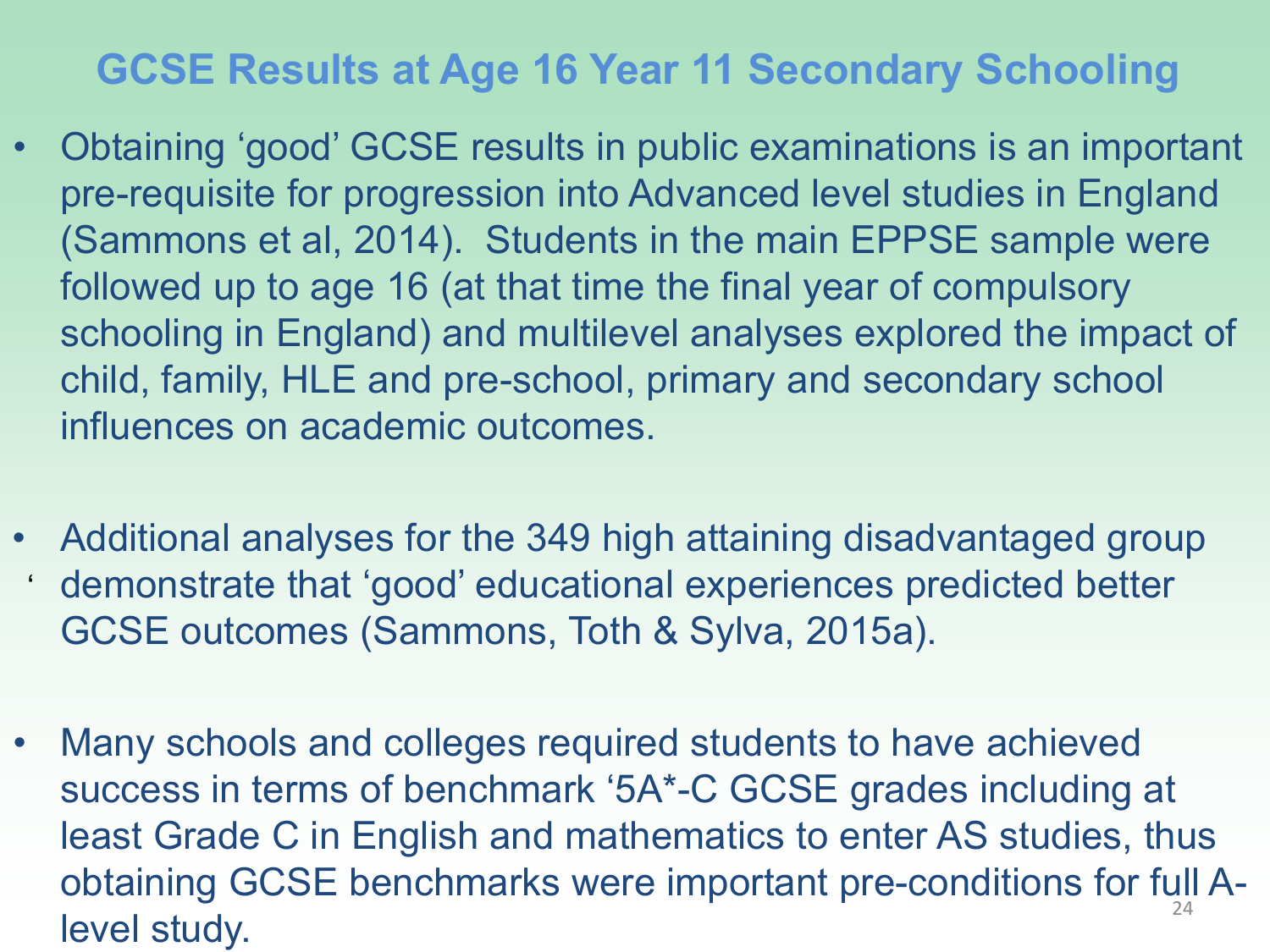### **GCSE Results at Age 16 Year 11 Secondary Schooling**

- Obtaining 'good' GCSE results in public examinations is an important pre-requisite for progression into Advanced level studies in England (Sammons et al, 2014). Students in the main EPPSE sample were followed up to age 16 (at that time the final year of compulsory schooling in England) and multilevel analyses explored the impact of child, family, HLE and pre-school, primary and secondary school influences on academic outcomes.
- Additional analyses for the 349 high attaining disadvantaged group
- ' demonstrate that 'good' educational experiences predicted better GCSE outcomes (Sammons, Toth & Sylva, 2015a).
- 24 • Many schools and colleges required students to have achieved success in terms of benchmark '5A\*-C GCSE grades including at least Grade C in English and mathematics to enter AS studies, thus obtaining GCSE benchmarks were important pre-conditions for full Alevel study.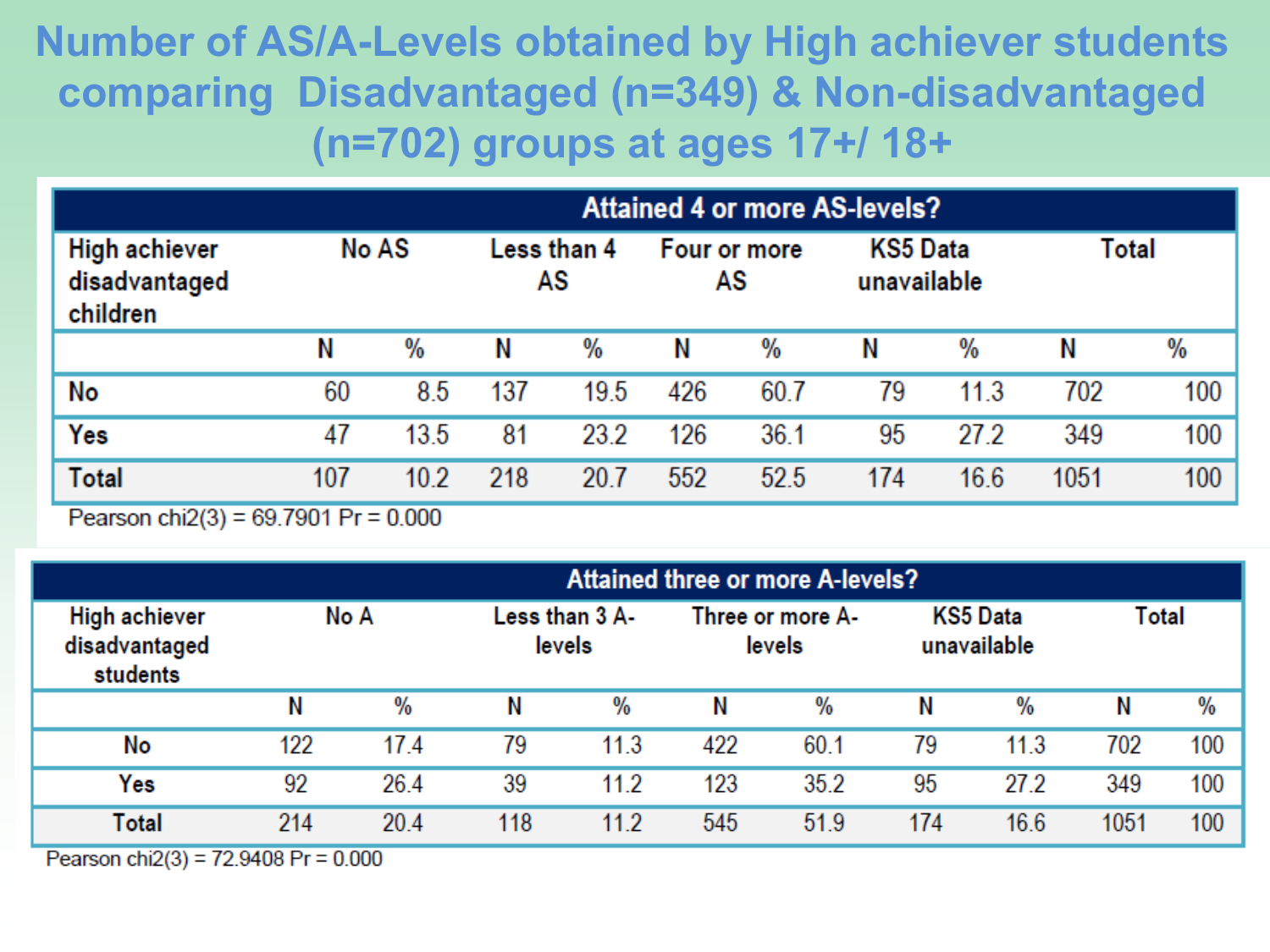### **Number of AS/A-Levels obtained by High achiever students comparing Disadvantaged (n=349) & Non-disadvantaged (n=702) groups at ages 17+/ 18+**

|                                                   |       |      |             |      |                    |      | <b>Attained 4 or more AS-levels?</b> |      |       |     |
|---------------------------------------------------|-------|------|-------------|------|--------------------|------|--------------------------------------|------|-------|-----|
| <b>High achiever</b><br>disadvantaged<br>children | No AS |      | Less than 4 | AS   | Four or more<br>AS |      | <b>KS5 Data</b><br>unavailable       |      | Total |     |
|                                                   | Ν     | %    | Ν           | %    | N                  | %    | N                                    | %    | N     | %   |
| No                                                | 60    | 8.5  | 137         | 19.5 | 426                | 60.7 | 79                                   | 11.3 | 702   | 100 |
| Yes                                               | 47    | 13.5 | 81          | 23.2 | 126                | 36.1 | 95                                   | 27.2 | 349   | 100 |
| <b>Total</b>                                      | 107   | 10.2 | 218         | 20.7 | 552                | 52.5 | 174                                  | 16.6 | 1051  | 100 |

Pearson chiz(3) – 69.790 FT – 0.000

|      |                                            |                          | <b>Attained three or more A-levels?</b> |                            |     |                 |             |      |  |  |  |
|------|--------------------------------------------|--------------------------|-----------------------------------------|----------------------------|-----|-----------------|-------------|------|--|--|--|
| No A |                                            | Less than 3 A-<br>levels |                                         | Three or more A-<br>levels |     | <b>KS5 Data</b> | Total       |      |  |  |  |
| $\%$ | Ν                                          | $\%$                     | N                                       | $\%$                       | Ν   | %               | N           | $\%$ |  |  |  |
| 17.4 | 79                                         | 11.3                     | 422                                     | 60.1                       | 79  | 11.3            | 702         | 100  |  |  |  |
| 26.4 | 39                                         | 11.2                     | 123                                     | 35.2                       | 95  | 27.2            | 349         | 100  |  |  |  |
| 20.4 | 118                                        | 11.2                     | 545                                     | 51.9                       | 174 | 16.6            | 1051        | 100  |  |  |  |
|      | $D_{22} = 1.20(0) = 70.0400 D_{2} = 0.000$ |                          |                                         |                            |     |                 | unavailable |      |  |  |  |

Pearson chi2(3) =  $12.9408$  Pr = 0.000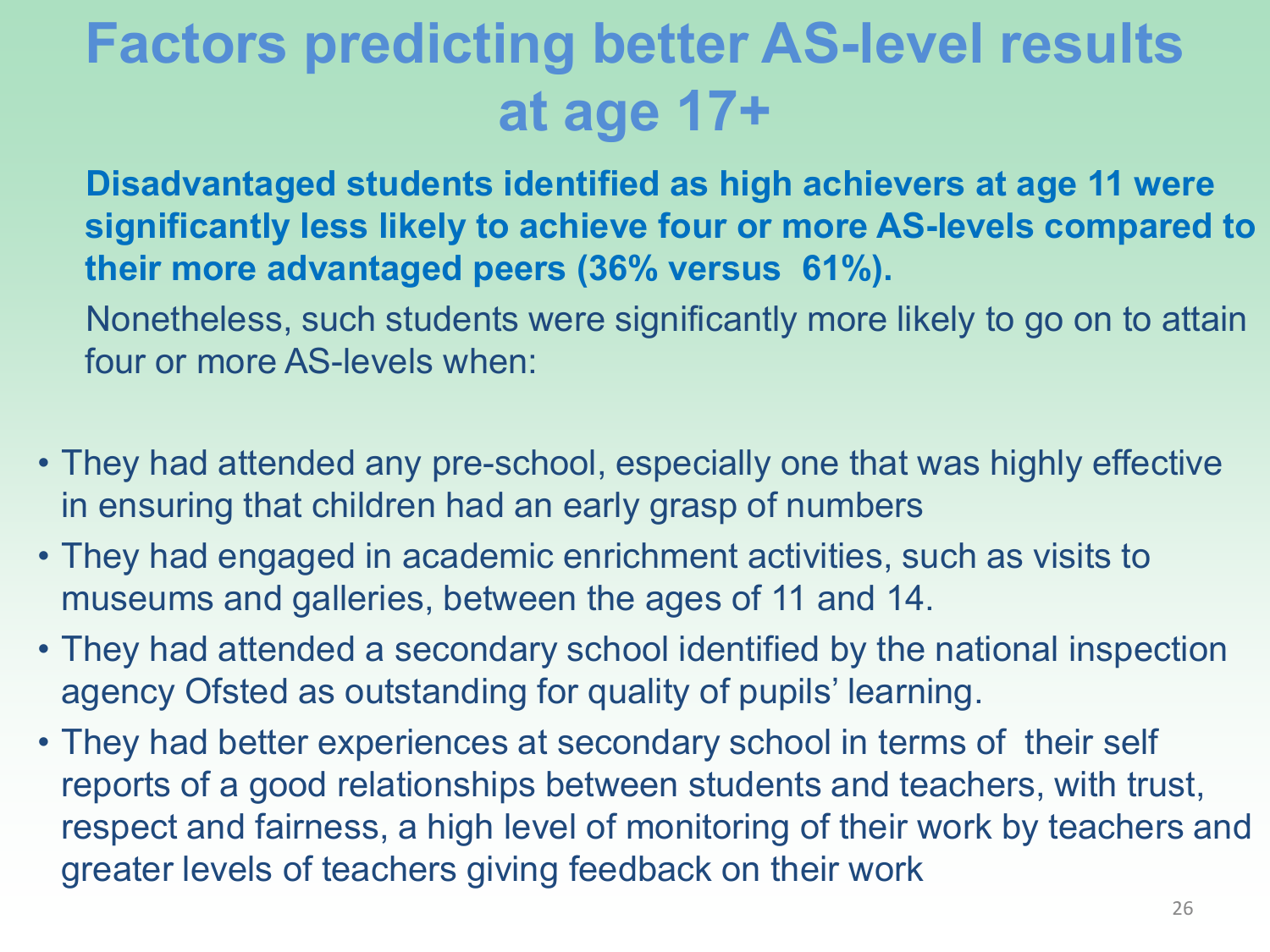## **Factors predicting better AS-level results at age 17+**

- **Disadvantaged students identified as high achievers at age 11 were significantly less likely to achieve four or more AS-levels compared to their more advantaged peers (36% versus 61%).**
- Nonetheless, such students were significantly more likely to go on to attain four or more AS-levels when:
- They had attended any pre-school, especially one that was highly effective in ensuring that children had an early grasp of numbers
- They had engaged in academic enrichment activities, such as visits to museums and galleries, between the ages of 11 and 14.
- They had attended a secondary school identified by the national inspection agency Ofsted as outstanding for quality of pupils' learning.
- They had better experiences at secondary school in terms of their self reports of a good relationships between students and teachers, with trust, respect and fairness, a high level of monitoring of their work by teachers and greater levels of teachers giving feedback on their work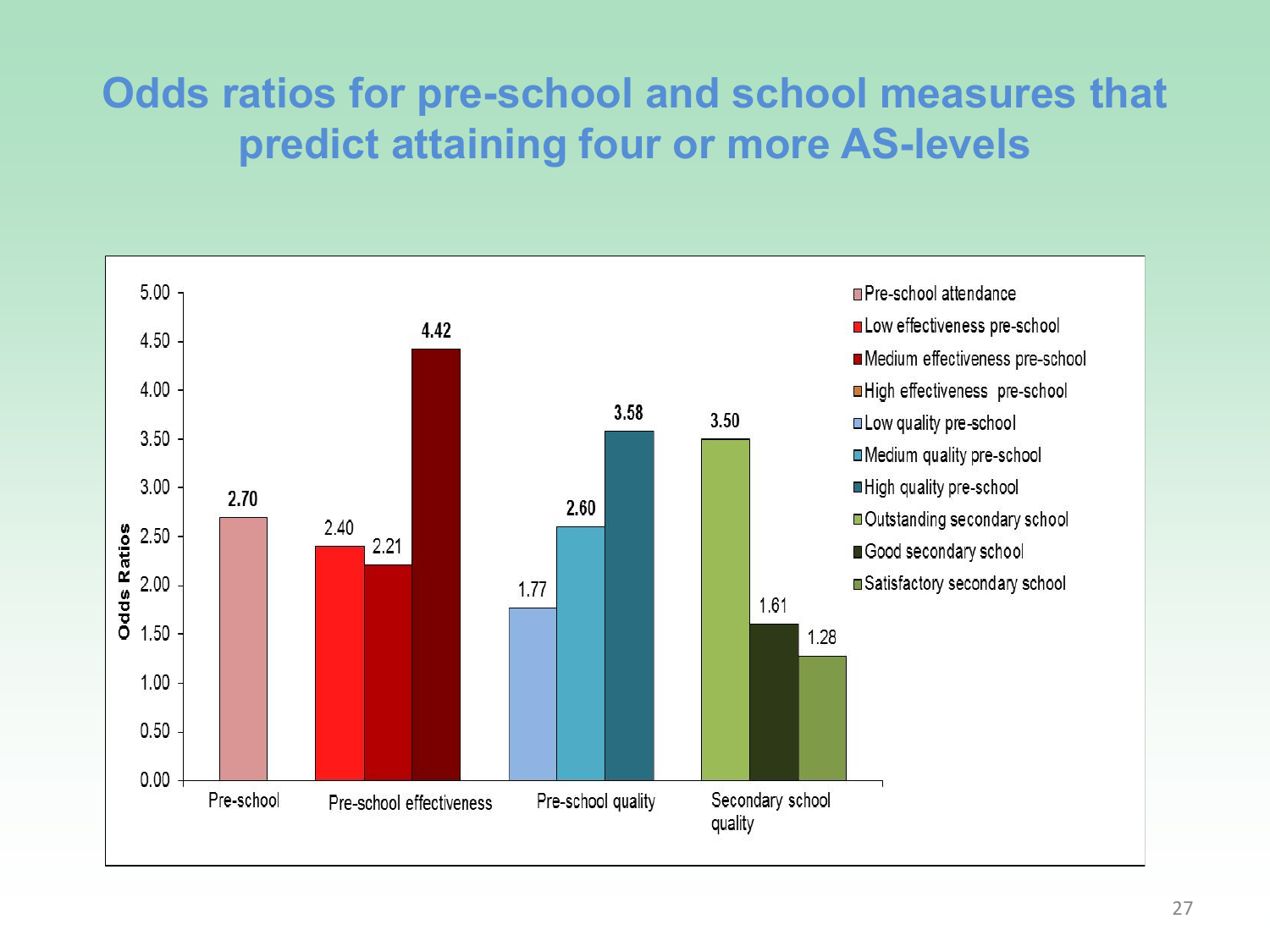### **Odds ratios for pre-school and school measures that predict attaining four or more AS-levels**

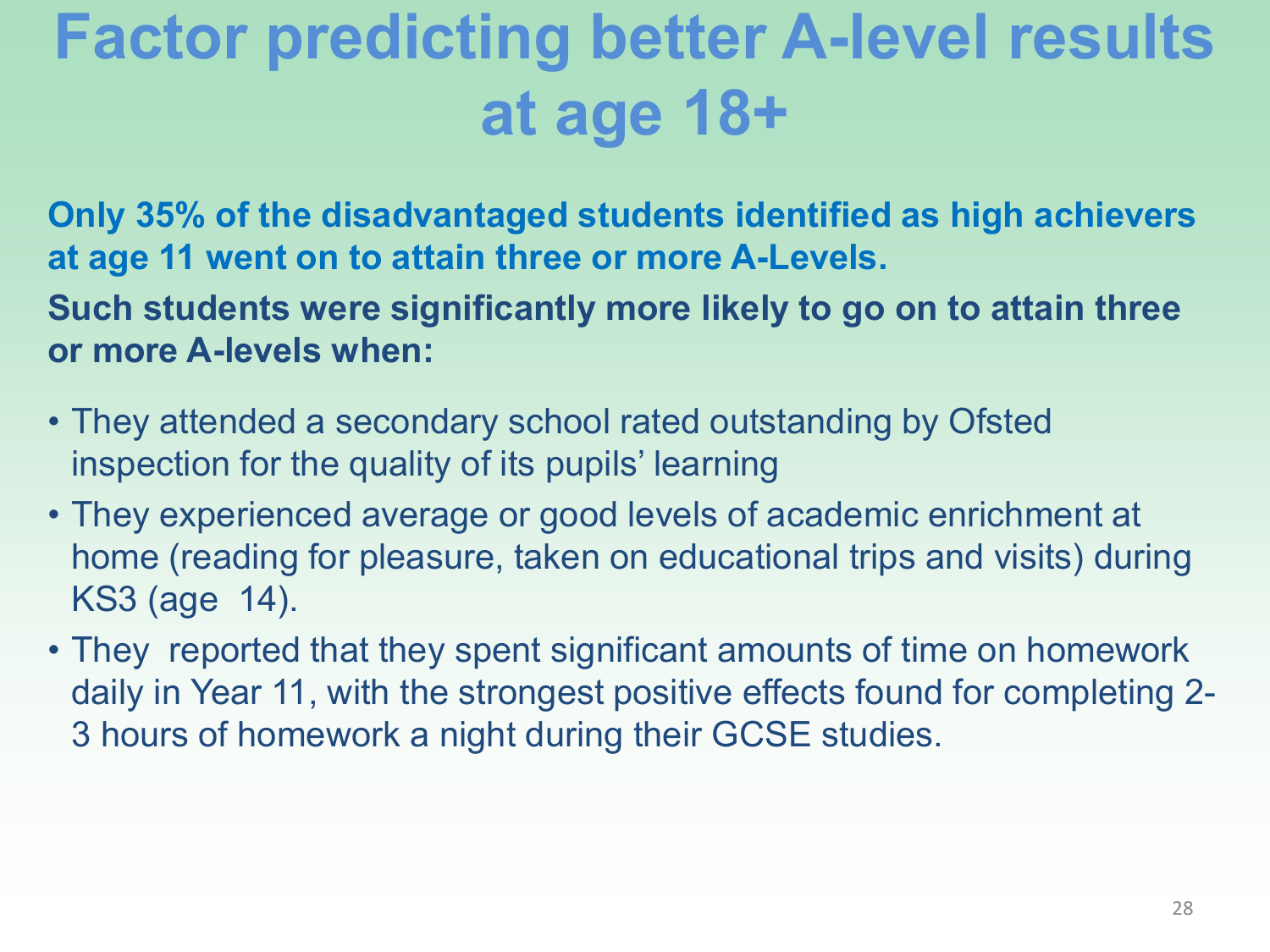# **Factor predicting better A-level results at age 18+**

**Only 35% of the disadvantaged students identified as high achievers at age 11 went on to attain three or more A-Levels.** 

**Such students were significantly more likely to go on to attain three or more A-levels when:**

- They attended a secondary school rated outstanding by Ofsted inspection for the quality of its pupils' learning
- They experienced average or good levels of academic enrichment at home (reading for pleasure, taken on educational trips and visits) during KS3 (age 14).
- They reported that they spent significant amounts of time on homework daily in Year 11, with the strongest positive effects found for completing 2- 3 hours of homework a night during their GCSE studies.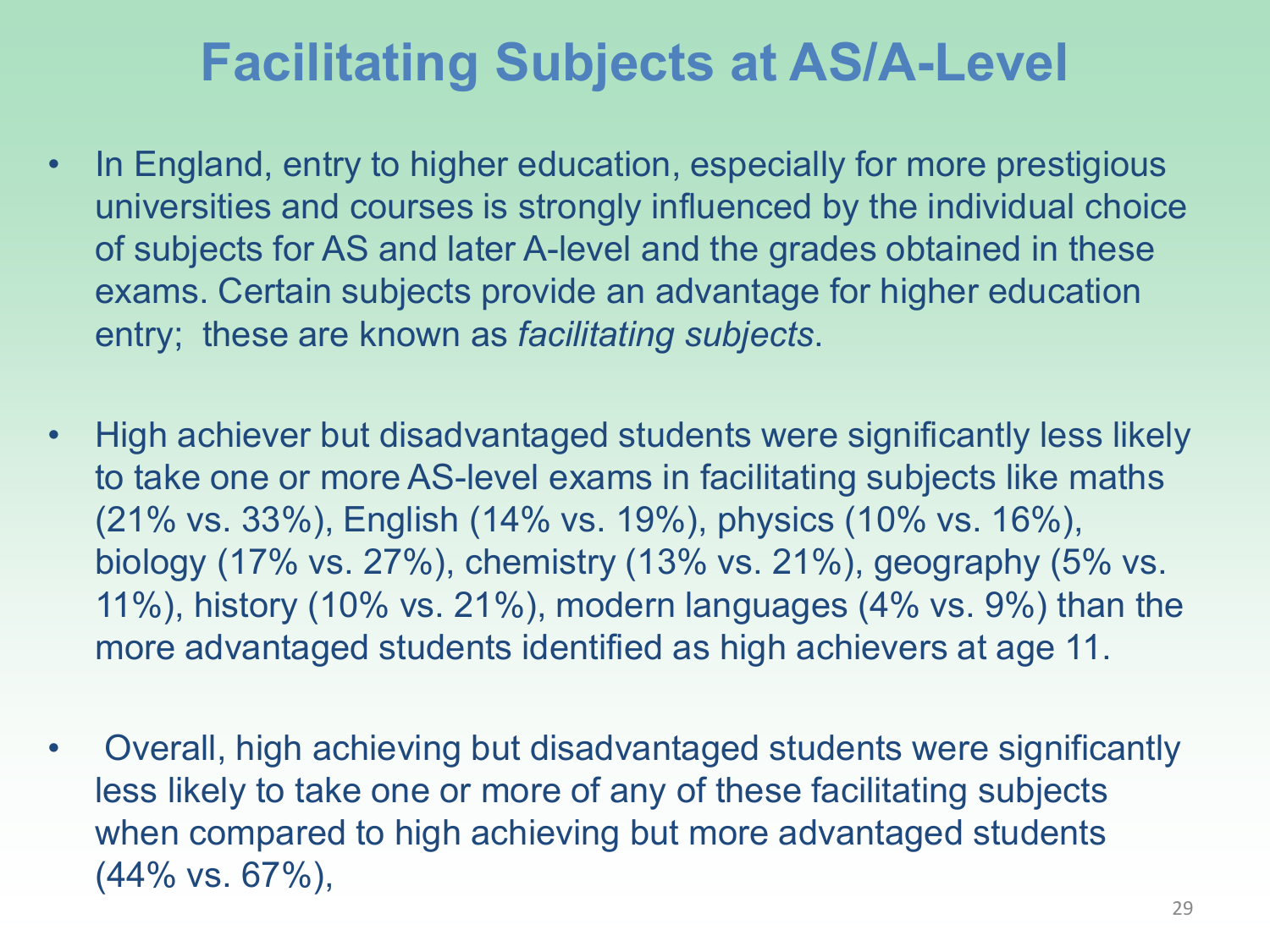## **Facilitating Subjects at AS/A-Level**

- In England, entry to higher education, especially for more prestigious universities and courses is strongly influenced by the individual choice of subjects for AS and later A-level and the grades obtained in these exams. Certain subjects provide an advantage for higher education entry; these are known as *facilitating subjects*.
- High achiever but disadvantaged students were significantly less likely to take one or more AS-level exams in facilitating subjects like maths (21% vs. 33%), English (14% vs. 19%), physics (10% vs. 16%), biology (17% vs. 27%), chemistry (13% vs. 21%), geography (5% vs. 11%), history (10% vs. 21%), modern languages (4% vs. 9%) than the more advantaged students identified as high achievers at age 11.
- Overall, high achieving but disadvantaged students were significantly less likely to take one or more of any of these facilitating subjects when compared to high achieving but more advantaged students (44% vs. 67%),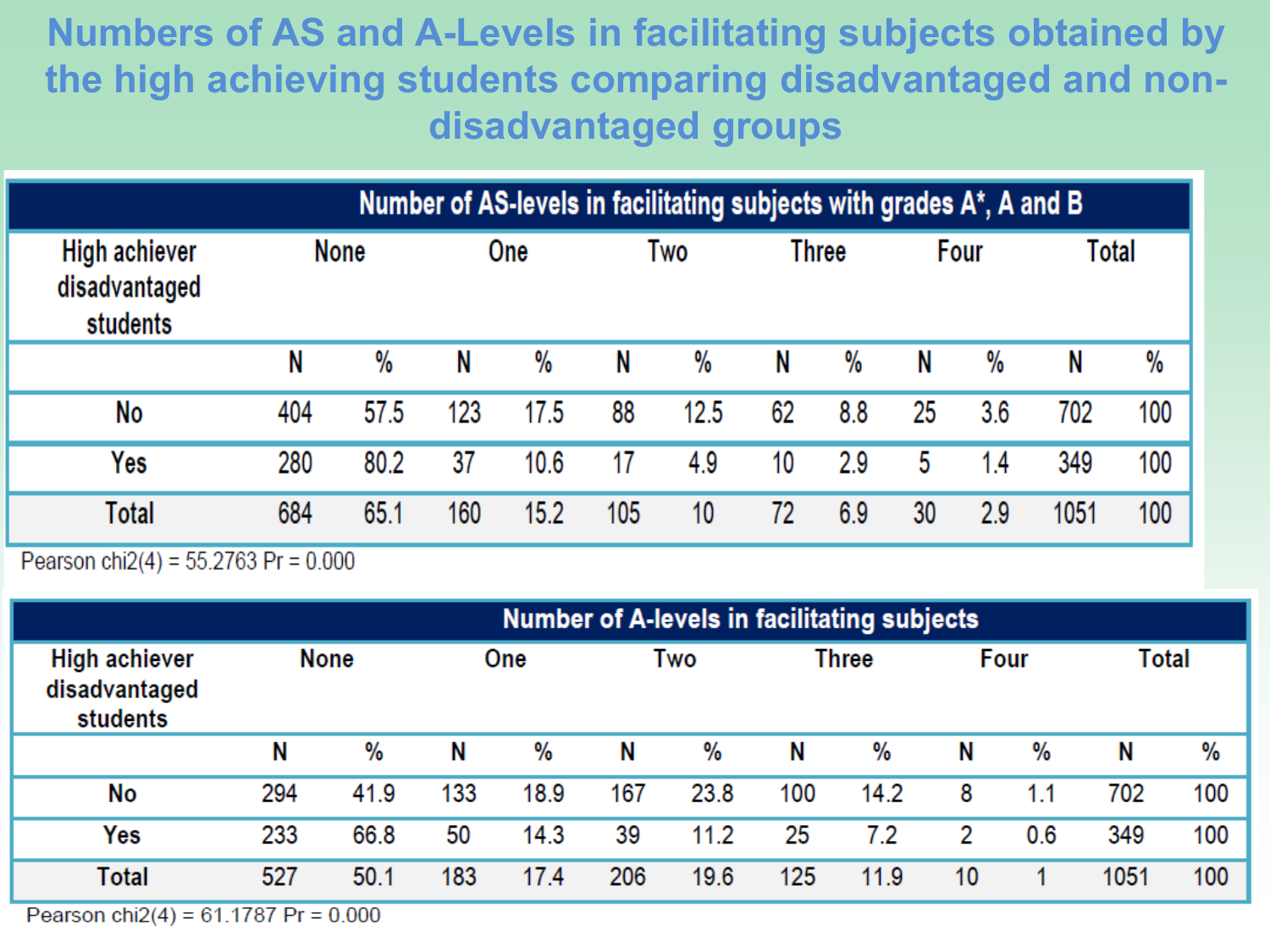### **Numbers of AS and A-Levels in facilitating subjects obtained by the high achieving students comparing disadvantaged and nondisadvantaged groups**

|                                                   |     |               |     |            |     | Number of AS-levels in facilitating subjects with grades A*, A and B |    |              |    |      |       |               |
|---------------------------------------------------|-----|---------------|-----|------------|-----|----------------------------------------------------------------------|----|--------------|----|------|-------|---------------|
| <b>High achiever</b><br>disadvantaged<br>students |     | <b>None</b>   |     | <b>One</b> |     | Two                                                                  |    | <b>Three</b> |    | Four | Total |               |
|                                                   | N   | $\frac{0}{0}$ | N   | %          | N   | $\frac{0}{0}$                                                        | N  | %            | N  | %    | N     | $\frac{0}{0}$ |
| No                                                | 404 | 57.5          | 123 | 17.5       | 88  | 12.5                                                                 | 62 | 8.8          | 25 | 3.6  | 702   | 100           |
| Yes                                               | 280 | 80.2          | 37  | 10.6       | 17  | 4.9                                                                  | 10 | 2.9          | 5  | 1.4  | 349   | 100           |
| Total                                             | 684 | 65.1          | 160 | 15.2       | 105 | 10                                                                   | 72 | 6.9          | 30 | 2.9  | 1051  | 100           |

Pearson chi2(4) =  $55.2/63$  Pr = 0.000

|                                                   |     |             |     |      |     |      |     | <b>Number of A-levels in facilitating subjects</b> |    |      |       |      |
|---------------------------------------------------|-----|-------------|-----|------|-----|------|-----|----------------------------------------------------|----|------|-------|------|
| <b>High achiever</b><br>disadvantaged<br>students |     | <b>None</b> |     | One  |     | Two  |     | Three                                              |    | Four | Total |      |
|                                                   | N   | %           | N   | %    | N   | %    | N   | $\frac{0}{0}$                                      | Ν  | %    | N     | $\%$ |
| No                                                | 294 | 41.9        | 133 | 18.9 | 167 | 23.8 | 100 | 14.2                                               | 8  | 1.1  | 702   | 100  |
| Yes                                               | 233 | 66.8        | 50  | 14.3 | 39  | 11.2 | 25  | 7.2                                                | 2  | 0.6  | 349   | 100  |
| <b>Total</b>                                      | 527 | 50.1        | 183 | 17.4 | 206 | 19.6 | 125 | 11.9                                               | 10 |      | 1051  | 100  |
| Pearson chi $2(4) = 61,1787$ Pr = 0.000           |     |             |     |      |     |      |     |                                                    |    |      |       |      |

Pearson chi2(4) = 61.1787 Pr = 0.000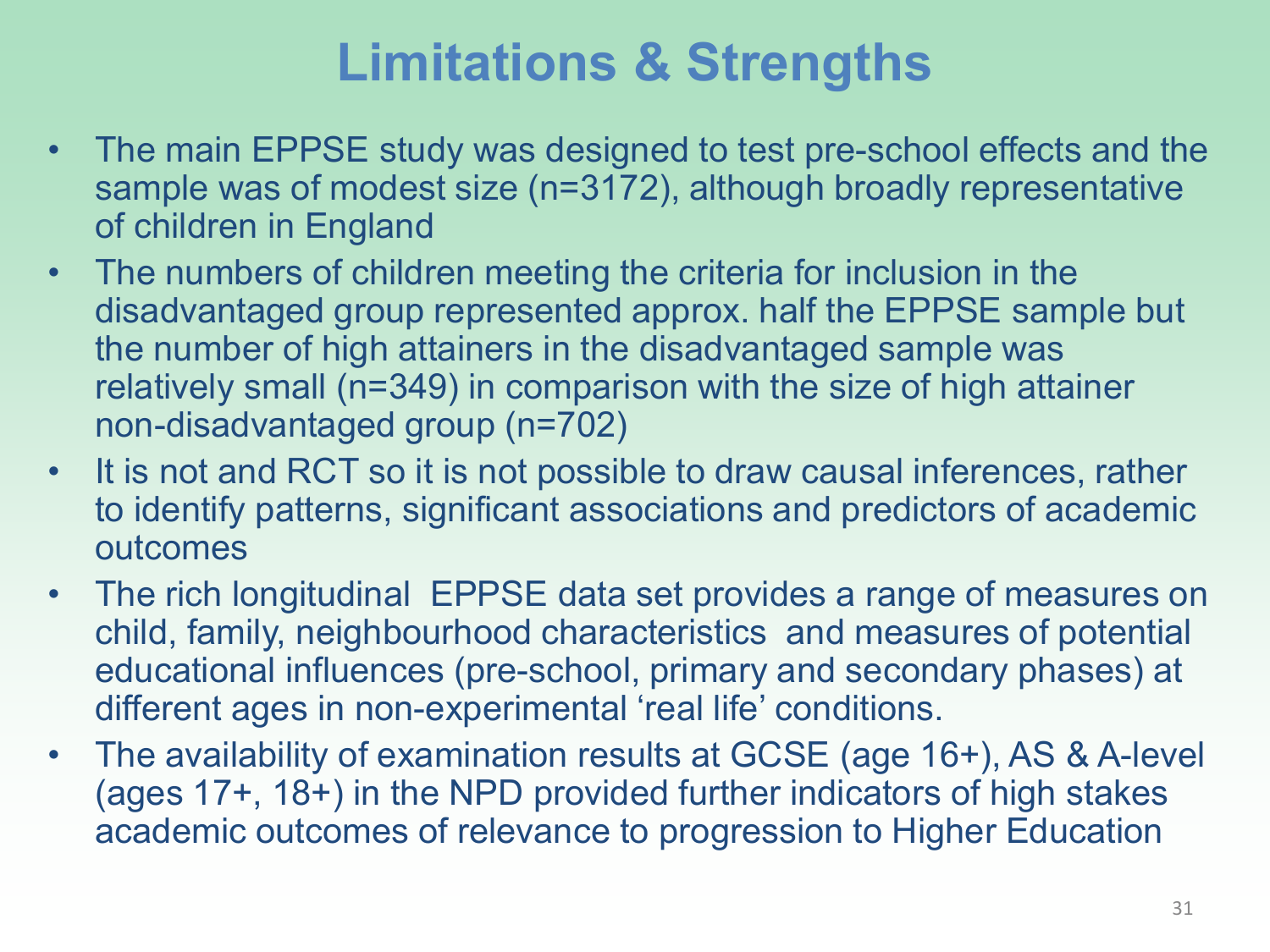## **Limitations & Strengths**

- The main EPPSE study was designed to test pre-school effects and the sample was of modest size (n=3172), although broadly representative of children in England
- The numbers of children meeting the criteria for inclusion in the disadvantaged group represented approx. half the EPPSE sample but the number of high attainers in the disadvantaged sample was relatively small (n=349) in comparison with the size of high attainer non-disadvantaged group (n=702)
- It is not and RCT so it is not possible to draw causal inferences, rather to identify patterns, significant associations and predictors of academic outcomes
- The rich longitudinal EPPSE data set provides a range of measures on child, family, neighbourhood characteristics and measures of potential educational influences (pre-school, primary and secondary phases) at different ages in non-experimental 'real life' conditions.
- The availability of examination results at GCSE (age 16+), AS & A-level (ages 17+, 18+) in the NPD provided further indicators of high stakes academic outcomes of relevance to progression to Higher Education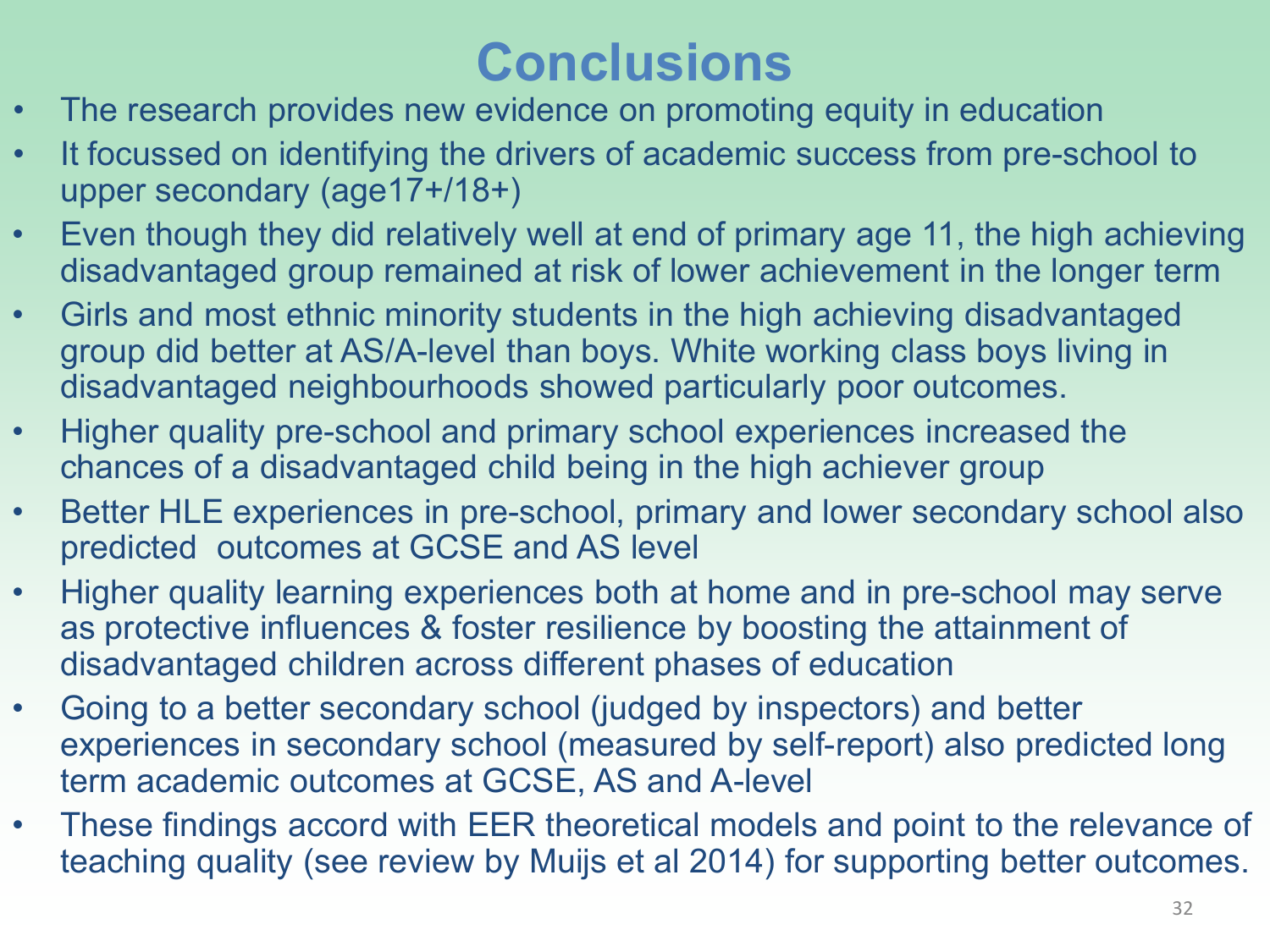## **Conclusions**

- The research provides new evidence on promoting equity in education
- It focussed on identifying the drivers of academic success from pre-school to upper secondary (age17+/18+)
- Even though they did relatively well at end of primary age 11, the high achieving disadvantaged group remained at risk of lower achievement in the longer term
- Girls and most ethnic minority students in the high achieving disadvantaged group did better at AS/A-level than boys. White working class boys living in disadvantaged neighbourhoods showed particularly poor outcomes.
- Higher quality pre-school and primary school experiences increased the chances of a disadvantaged child being in the high achiever group
- Better HLE experiences in pre-school, primary and lower secondary school also predicted outcomes at GCSE and AS level
- Higher quality learning experiences both at home and in pre-school may serve as protective influences & foster resilience by boosting the attainment of disadvantaged children across different phases of education
- Going to a better secondary school (judged by inspectors) and better experiences in secondary school (measured by self-report) also predicted long term academic outcomes at GCSE, AS and A-level
- These findings accord with EER theoretical models and point to the relevance of teaching quality (see review by Muijs et al 2014) for supporting better outcomes.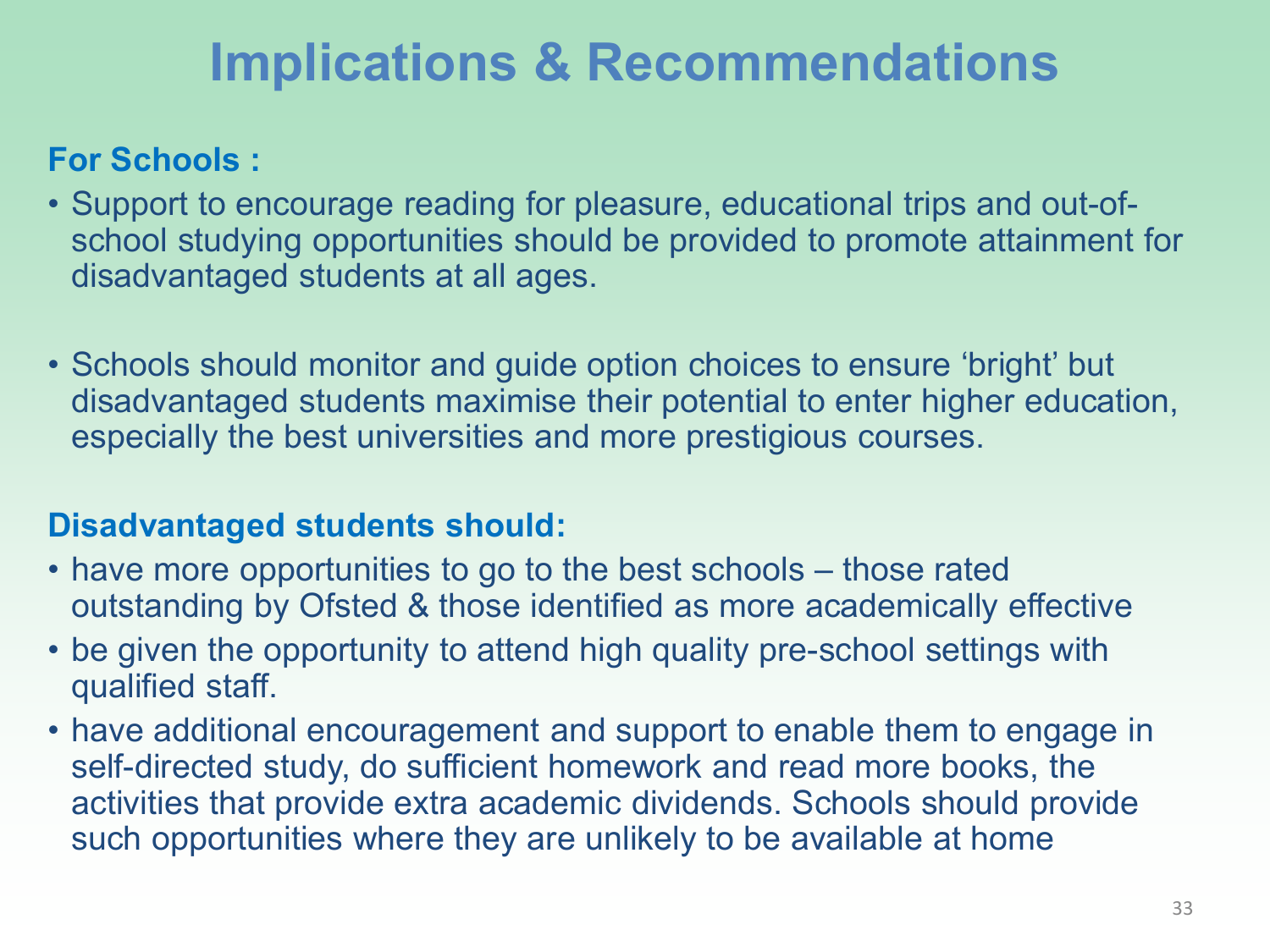### **Implications & Recommendations**

### **For Schools :**

- Support to encourage reading for pleasure, educational trips and out-ofschool studying opportunities should be provided to promote attainment for disadvantaged students at all ages.
- Schools should monitor and guide option choices to ensure 'bright' but disadvantaged students maximise their potential to enter higher education, especially the best universities and more prestigious courses.

### **Disadvantaged students should:**

- have more opportunities to go to the best schools those rated outstanding by Ofsted & those identified as more academically effective
- be given the opportunity to attend high quality pre-school settings with qualified staff.
- have additional encouragement and support to enable them to engage in self-directed study, do sufficient homework and read more books, the activities that provide extra academic dividends. Schools should provide such opportunities where they are unlikely to be available at home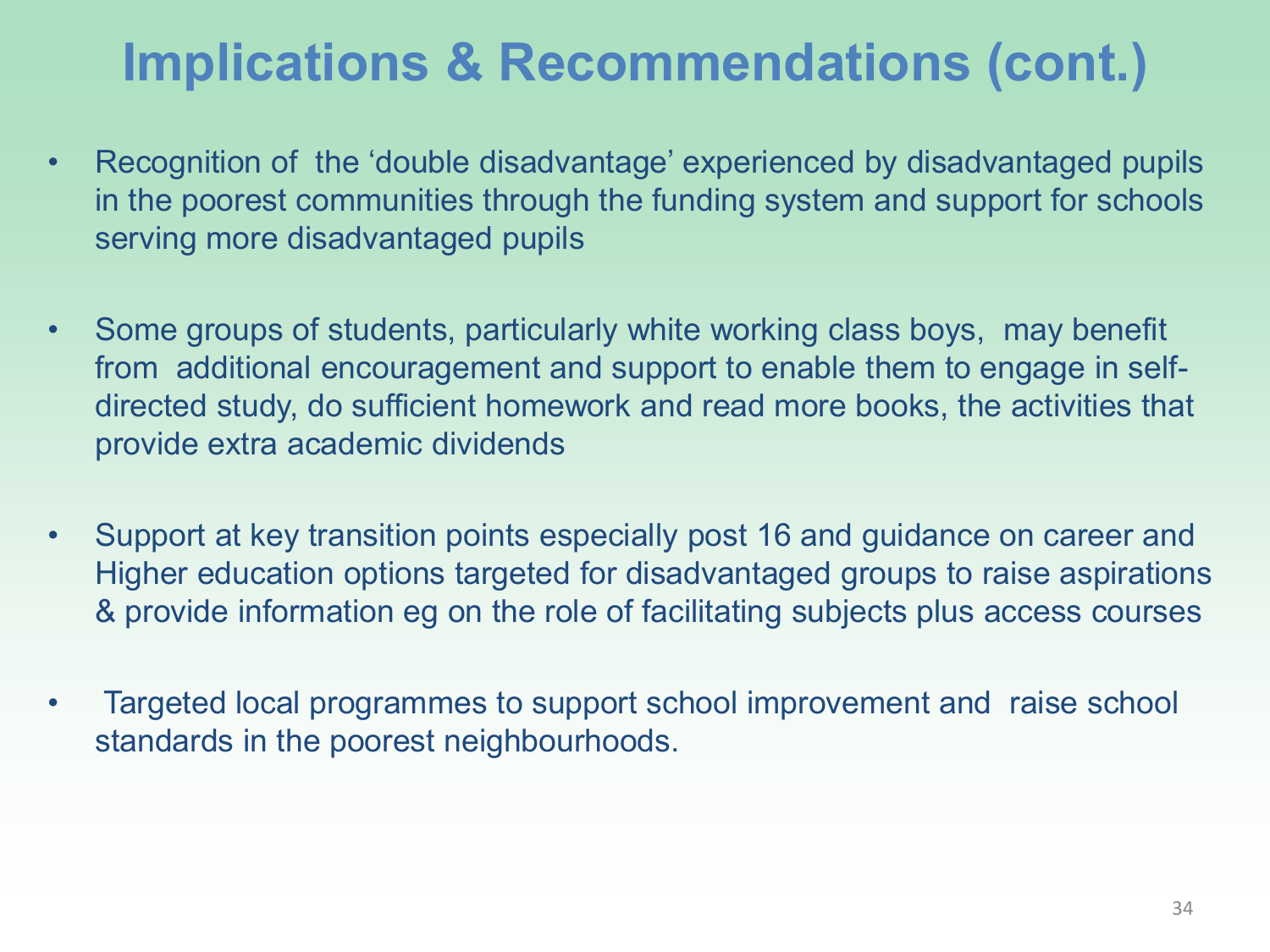## **Implications & Recommendations (cont.)**

- Recognition of the 'double disadvantage' experienced by disadvantaged pupils in the poorest communities through the funding system and support for schools serving more disadvantaged pupils
- Some groups of students, particularly white working class boys, may benefit from additional encouragement and support to enable them to engage in selfdirected study, do sufficient homework and read more books, the activities that provide extra academic dividends
- Support at key transition points especially post 16 and guidance on career and Higher education options targeted for disadvantaged groups to raise aspirations & provide information eg on the role of facilitating subjects plus access courses
- Targeted local programmes to support school improvement and raise school standards in the poorest neighbourhoods.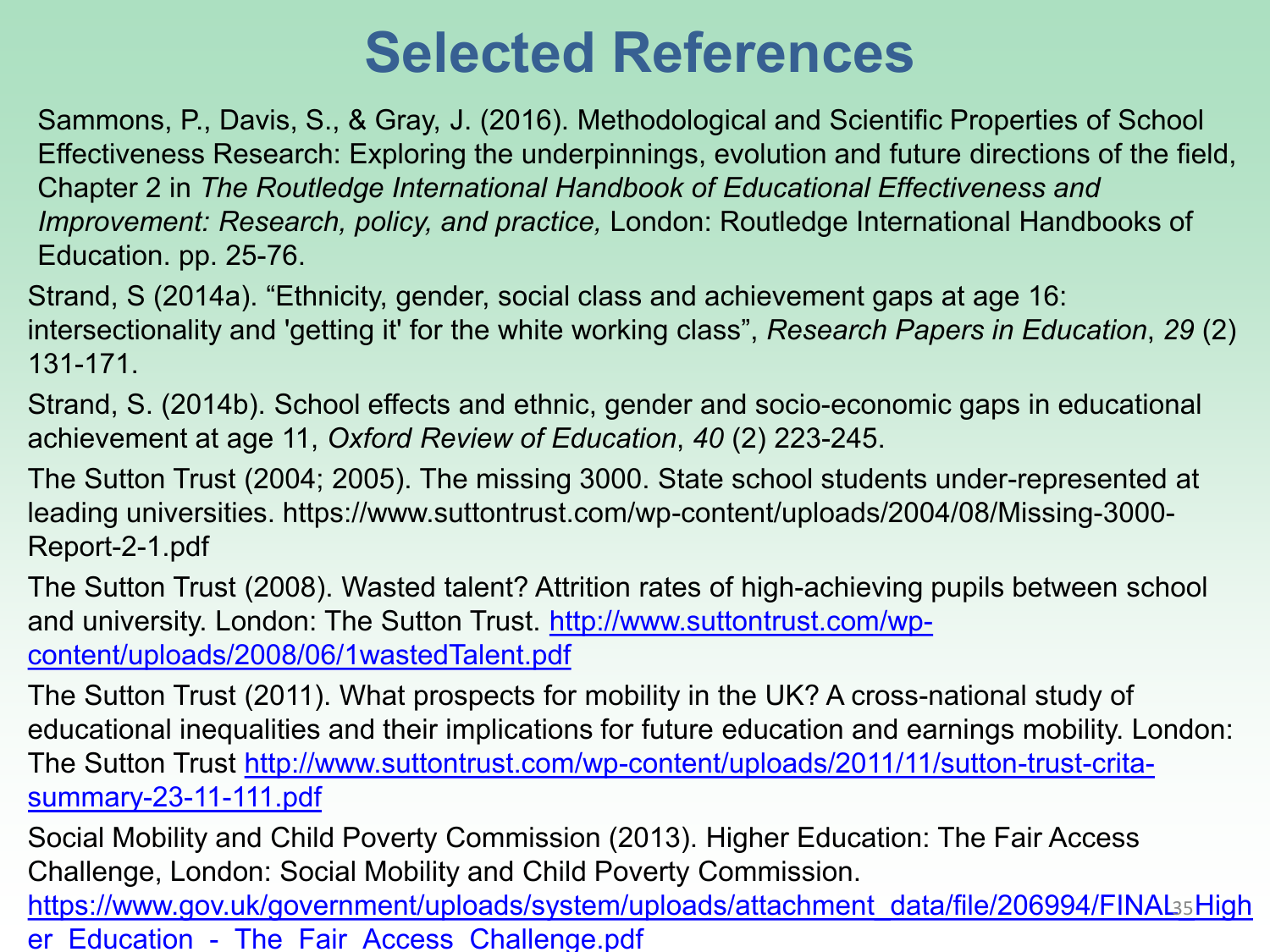## **Selected References**

Sammons, P., Davis, S., & Gray, J. (2016). Methodological and Scientific Properties of School Effectiveness Research: Exploring the underpinnings, evolution and future directions of the field, Chapter 2 in *The Routledge International Handbook of Educational Effectiveness and Improvement: Research, policy, and practice,* London: Routledge International Handbooks of Education. pp. 25-76.

Strand, S (2014a). "Ethnicity, gender, social class and achievement gaps at age 16: intersectionality and 'getting it' for the white working class", *Research Papers in Education*, *29* (2) 131-171.

Strand, S. (2014b). School effects and ethnic, gender and socio-economic gaps in educational achievement at age 11, *Oxford Review of Education*, *40* (2) 223-245.

The Sutton Trust (2004; 2005). The missing 3000. State school students under-represented at leading universities. https://www.suttontrust.com/wp-content/uploads/2004/08/Missing-3000- Report-2-1.pdf

The Sutton Trust (2008). Wasted talent? Attrition rates of high-achieving pupils between school [and university. London: The Sutton Trust. http://www.suttontrust.com/wp-](http://www.suttontrust.com/wp-content/uploads/2008/06/1wastedTalent.pdf)

content/uploads/2008/06/1wastedTalent.pdf

The Sutton Trust (2011). What prospects for mobility in the UK? A cross-national study of educational inequalities and their implications for future education and earnings mobility. London: [The Sutton Trust http://www.suttontrust.com/wp-content/uploads/2011/11/sutton-trust-crita](http://www.suttontrust.com/wp-content/uploads/2011/11/sutton-trust-crita-summary-23-11-111.pdf)summary-23-11-111.pdf

Social Mobility and Child Poverty Commission (2013). Higher Education: The Fair Access Challenge, London: Social Mobility and Child Poverty Commission.

<u>https://www.gov.uk/government/uploads/system/uploads/attachment\_data/file/206994/FINAL $_3$ sHigh</u>

er Education - The Fair Access Challenge.pdf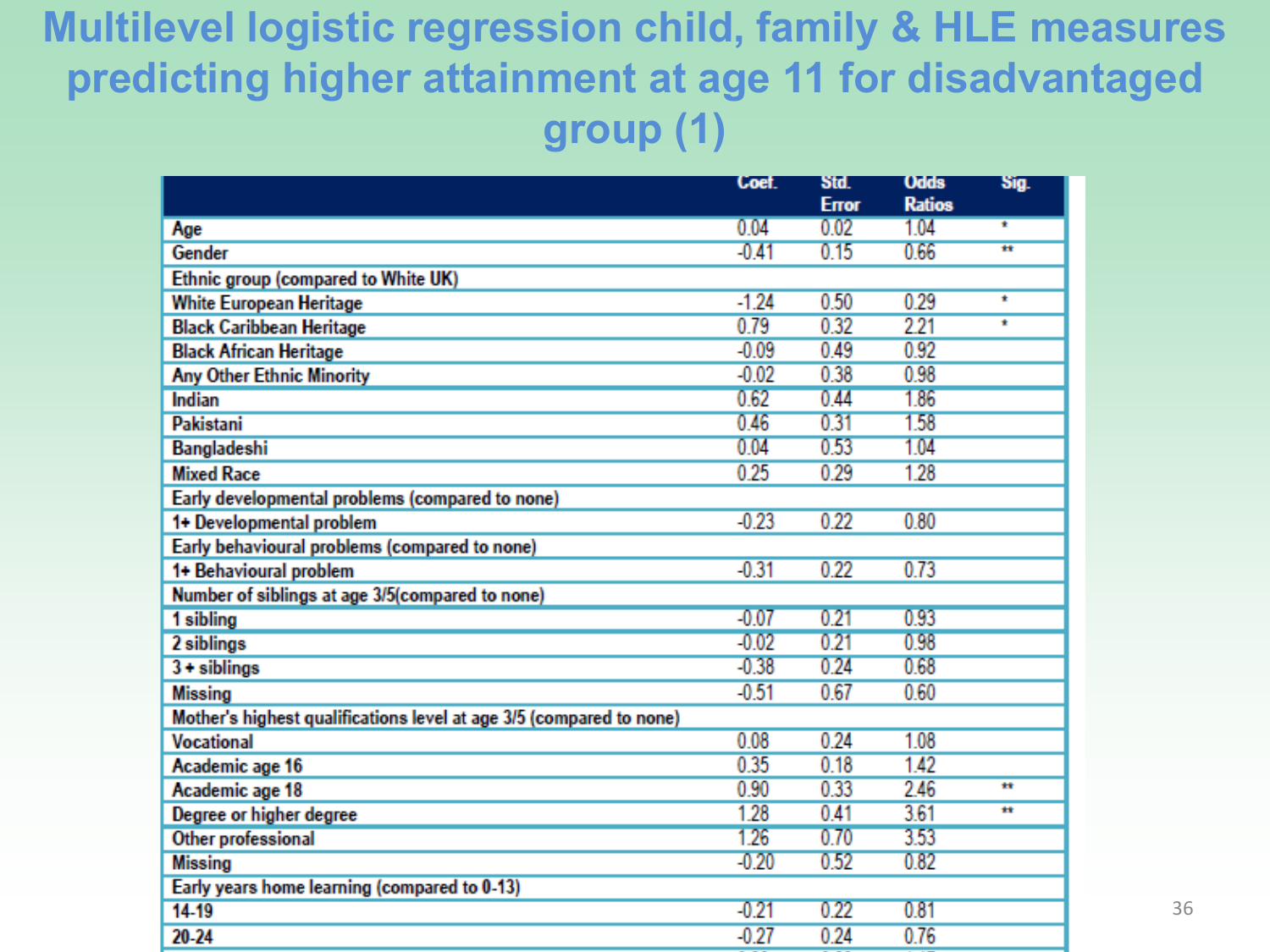### **Multilevel logistic regression child, family & HLE measures predicting higher attainment at age 11 for disadvantaged group (1)**

|                                                                     | Coet.   | Std.<br><b>Error</b> | <b>Odds</b><br><b>Ratios</b> | Sig.           |
|---------------------------------------------------------------------|---------|----------------------|------------------------------|----------------|
| Age                                                                 | 0.04    | 0.02                 | 1.04                         | Ŧ              |
| Gender                                                              | $-0.41$ | 0.15                 | 0.66                         | $\overline{1}$ |
| Ethnic group (compared to White UK)                                 |         |                      |                              |                |
| <b>White European Heritage</b>                                      | $-1.24$ | 0.50                 | 0.29                         | ٠              |
| <b>Black Caribbean Heritage</b>                                     | 0.79    | 0.32                 | 2.21                         | ÷              |
| <b>Black African Heritage</b>                                       | $-0.09$ | 0.49                 | 0.92                         |                |
| <b>Any Other Ethnic Minority</b>                                    | $-0.02$ | 0.38                 | 0.98                         |                |
| <b>Indian</b>                                                       | 0.62    | 0.44                 | 1.86                         |                |
| Pakistani                                                           | 0.46    | 0.31                 | 1.58                         |                |
| Bangladeshi                                                         | 0.04    | 0.53                 | 1.04                         |                |
| <b>Mixed Race</b>                                                   | 0.25    | 0.29                 | 1.28                         |                |
| Early developmental problems (compared to none)                     |         |                      |                              |                |
| 1+ Developmental problem                                            | $-0.23$ | 0.22                 | 0.80                         |                |
| Early behavioural problems (compared to none)                       |         |                      |                              |                |
| 1+ Behavioural problem                                              | $-0.31$ | 0.22                 | 0.73                         |                |
| Number of siblings at age 3/5(compared to none)                     |         |                      |                              |                |
| 1 sibling                                                           | $-0.07$ | 0.21                 | 0.93                         |                |
| 2 siblings                                                          | $-0.02$ | 0.21                 | 0.98                         |                |
| $3 +$ siblings                                                      | $-0.38$ | 0.24                 | 0.68                         |                |
| <b>Missing</b>                                                      | $-0.51$ | 0.67                 | 0.60                         |                |
| Mother's highest qualifications level at age 3/5 (compared to none) |         |                      |                              |                |
| <b>Vocational</b>                                                   | 0.08    | 0.24                 | 1.08                         |                |
| Academic age 16                                                     | 0.35    | 0.18                 | 1.42                         |                |
| Academic age 18                                                     | 0.90    | 0.33                 | 2.46                         | $\ddot{}$      |
| Degree or higher degree                                             | 1.28    | 0.41                 | 3.61                         | Ħ              |
| Other professional                                                  | 1.26    | 0.70                 | 3.53                         |                |
| <b>Missing</b>                                                      | $-0.20$ | 0.52                 | 0.82                         |                |
| Early years home learning (compared to 0-13)                        |         |                      |                              |                |
| $14-19$                                                             | $-0.21$ | 0.22                 | 0.81                         |                |
| $20 - 24$                                                           | $-0.27$ | 0.24                 | 0.76                         |                |